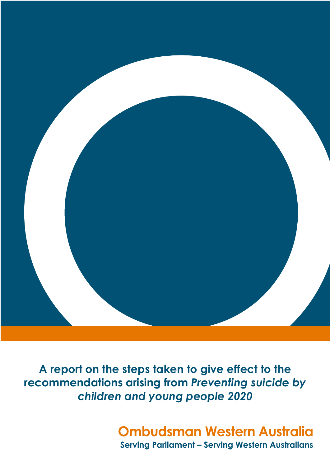

**A report on the steps taken to give effect to the recommendations arising from** *Preventing suicide by children and young people 2020*

# **Serving Parliament – Serving Western Australians Ombudsman Western Australia**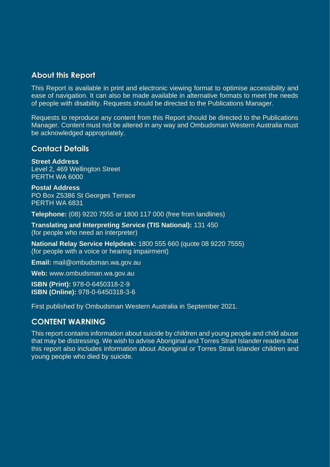# **About this Report**

This Report is available in print and electronic viewing format to optimise accessibility and ease of navigation. It can also be made available in alternative formats to meet the needs of people with disability. Requests should be directed to the Publications Manager.

Requests to reproduce any content from this Report should be directed to the Publications Manager. Content must not be altered in any way and Ombudsman Western Australia must be acknowledged appropriately.

# **Contact Details**

**Street Address** Level 2, 469 Wellington Street PERTH WA 6000

**Postal Address**  PO Box Z5386 St Georges Terrace PERTH WA 6831

**Telephone:** (08) 9220 7555 or 1800 117 000 (free from landlines)

**Translating and Interpreting Service (TIS National):** 131 450 (for people who need an interpreter)

**National Relay Service Helpdesk:** 1800 555 660 (quote 08 9220 7555) (for people with a voice or hearing impairment)

**Email:** mail@ombudsman.wa.gov.au

**Web:** www.ombudsman.wa.gov.au

**ISBN (Print):** 978-0-6450318-2-9 **ISBN (Online):** 978-0-6450318-3-6

First published by Ombudsman Western Australia in September 2021.

# **CONTENT WARNING**

This report contains information about suicide by children and young people and child abuse that may be distressing. We wish to advise Aboriginal and Torres Strait Islander readers that this report also includes information about Aboriginal or Torres Strait Islander children and young people who died by suicide.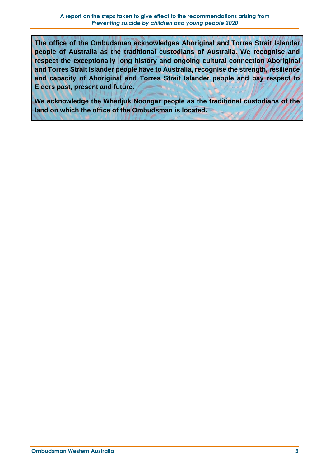**The office of the Ombudsman acknowledges Aboriginal and Torres Strait Islander people of Australia as the traditional custodians of Australia. We recognise and respect the exceptionally long history and ongoing cultural connection Aboriginal and Torres Strait Islander people have to Australia, recognise the strength, resilience and capacity of Aboriginal and Torres Strait Islander people and pay respect to Elders past, present and future.**

**We acknowledge the Whadjuk Noongar people as the traditional custodians of the land on which the office of the Ombudsman is located.**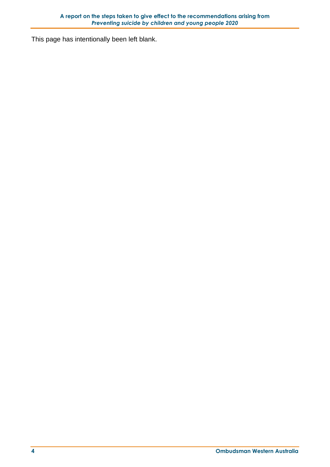This page has intentionally been left blank.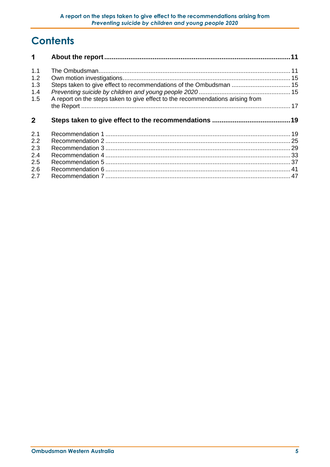# **Contents**

| $\mathbf 1$    |                                                                                |  |
|----------------|--------------------------------------------------------------------------------|--|
| 1.1            |                                                                                |  |
| 1.2            |                                                                                |  |
| 1.3            |                                                                                |  |
| 1.4            |                                                                                |  |
| 1.5            | A report on the steps taken to give effect to the recommendations arising from |  |
| $\overline{2}$ |                                                                                |  |
| 2.1            |                                                                                |  |
| 2.2            |                                                                                |  |
| 2.3            |                                                                                |  |
| 2.4            |                                                                                |  |
| 2.5            |                                                                                |  |
| 2.6            |                                                                                |  |
| 2.7            |                                                                                |  |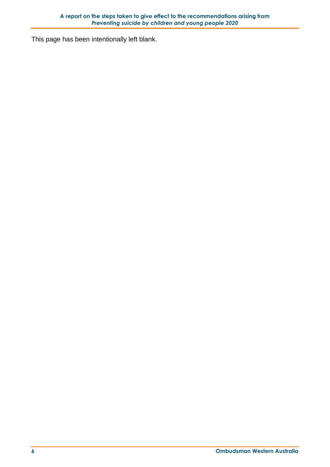This page has been intentionally left blank.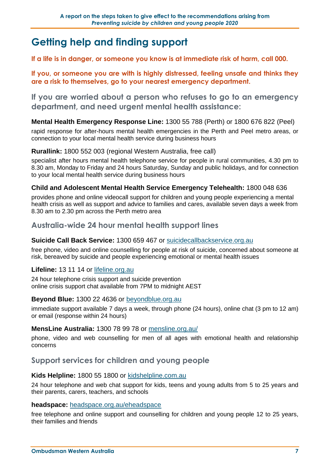# **Getting help and finding support**

**If a life is in danger, or someone you know is at immediate risk of harm, call 000.** 

**If you, or someone you are with is highly distressed, feeling unsafe and thinks they are a risk to themselves, go to your nearest emergency department.**

**If you are worried about a person who refuses to go to an emergency department, and need urgent mental health assistance:**

### **Mental Health Emergency Response Line:** 1300 55 788 (Perth) or 1800 676 822 (Peel)

rapid response for after-hours mental health emergencies in the Perth and Peel metro areas, or connection to your local mental health service during business hours

### **Rurallink:** 1800 552 003 (regional Western Australia, free call)

specialist after hours mental health telephone service for people in rural communities, 4.30 pm to 8.30 am, Monday to Friday and 24 hours Saturday, Sunday and public holidays, and for connection to your local mental health service during business hours

### **Child and Adolescent Mental Health Service Emergency Telehealth:** 1800 048 636

provides phone and online videocall support for children and young people experiencing a mental health crisis as well as support and advice to families and cares, available seven days a week from 8.30 am to 2.30 pm across the Perth metro area

# **Australia-wide 24 hour mental health support lines**

### **Suicide Call Back Service:** 1300 659 467 or [suicidecallbackservice.org.au](http://www.suicidecallbackservice.org.au/)

free phone, video and online counselling for people at risk of suicide, concerned about someone at risk, bereaved by suicide and people experiencing emotional or mental health issues

### Lifeline: 13 11 14 or [lifeline.org.au](http://www.lifeline.org.au/)

24 hour telephone crisis support and suicide prevention online crisis support chat available from 7PM to midnight AEST

### **Beyond Blue:** 1300 22 4636 or [beyondblue.org.au](http://www.beyondblue.org.au/)

immediate support available 7 days a week, through phone (24 hours), online chat (3 pm to 12 am) or email (response within 24 hours)

### **MensLine Australia:** 1300 78 99 78 or [mensline.org.au/](https://mensline.org.au/)

phone, video and web counselling for men of all ages with emotional health and relationship concerns

# **Support services for children and young people**

### **Kids Helpline:** 1800 55 1800 or [kidshelpline.com.au](http://www.kidshelpline.com.au/)

24 hour telephone and web chat support for kids, teens and young adults from 5 to 25 years and their parents, carers, teachers, and schools

### **headspace:** [headspace.org.au/eheadspace](https://headspace.org.au/eheadspace/)

free telephone and online support and counselling for children and young people 12 to 25 years, their families and friends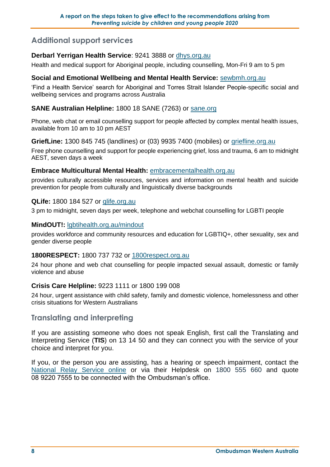# **Additional support services**

# **Derbarl Yerrigan Health Service**: 9241 3888 or [dhys.org.au](http://www.dyhs.org.au/)

Health and medical support for Aboriginal people, including counselling, Mon-Fri 9 am to 5 pm

### **Social and Emotional Wellbeing and Mental Health Service:** [sewbmh.org.au](http://www.sewbmh.org.au/)

'Find a Health Service' search for Aboriginal and Torres Strait Islander People-specific social and wellbeing services and programs across Australia

# **SANE Australian Helpline:** 1800 18 SANE (7263) or [sane.org](http://www.sane.org/)

Phone, web chat or email counselling support for people affected by complex mental health issues, available from 10 am to 10 pm AEST

### **GriefLine:** 1300 845 745 (landlines) or (03) 9935 7400 (mobiles) or [griefline.org.au](http://www.griefline.org.au/)

Free phone counselling and support for people experiencing grief, loss and trauma, 6 am to midnight AEST, seven days a week

### **Embrace Multicultural Mental Health:** [embracementalhealth.org.au](https://www.embracementalhealth.org.au/)

provides culturally accessible resources, services and information on mental health and suicide prevention for people from culturally and linguistically diverse backgrounds

### **QLife:** 1800 184 527 or [qlife.org.au](http://www.qlife.org.au/)

3 pm to midnight, seven days per week, telephone and webchat counselling for LGBTI people

### **MindOUT!:** [lgbtihealth.org.au/mindout](https://www.lgbtihealth.org.au/mindout)

provides workforce and community resources and education for LGBTIQ+, other sexuality, sex and gender diverse people

### **1800RESPECT:** 1800 737 732 or [1800respect.org.au](https://www.1800respect.org.au/)

24 hour phone and web chat counselling for people impacted sexual assault, domestic or family violence and abuse

### **Crisis Care Helpline:** 9223 1111 or 1800 199 008

24 hour, urgent assistance with child safety, family and domestic violence, homelessness and other crisis situations for Western Australians

# **Translating and interpreting**

If you are assisting someone who does not speak English, first call the Translating and Interpreting Service (**TIS**) on 13 14 50 and they can connect you with the service of your choice and interpret for you.

If you, or the person you are assisting, has a hearing or speech impairment, contact the [National Relay Service online](https://www.communications.gov.au/what-we-do/phone/services-people-disability/accesshub/national-relay-service) or via their Helpdesk on 1800 555 660 and quote 08 9220 7555 to be connected with the Ombudsman's office.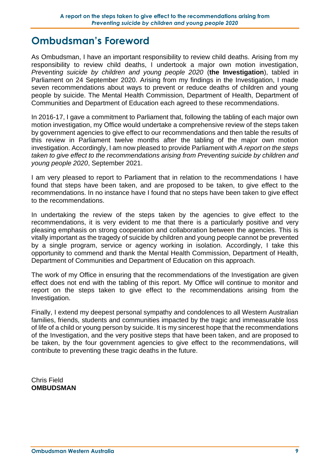# **Ombudsman's Foreword**

As Ombudsman, I have an important responsibility to review child deaths. Arising from my responsibility to review child deaths, I undertook a major own motion investigation, *Preventing suicide by children and young people 2020* (**the Investigation**), tabled in Parliament on 24 September 2020. Arising from my findings in the Investigation, I made seven recommendations about ways to prevent or reduce deaths of children and young people by suicide. The Mental Health Commission, Department of Health, Department of Communities and Department of Education each agreed to these recommendations.

In 2016-17, I gave a commitment to Parliament that, following the tabling of each major own motion investigation, my Office would undertake a comprehensive review of the steps taken by government agencies to give effect to our recommendations and then table the results of this review in Parliament twelve months after the tabling of the major own motion investigation. Accordingly, I am now pleased to provide Parliament with *A report on the steps taken to give effect to the recommendations arising from Preventing suicide by children and young people 2020*, September 2021.

I am very pleased to report to Parliament that in relation to the recommendations I have found that steps have been taken, and are proposed to be taken, to give effect to the recommendations. In no instance have I found that no steps have been taken to give effect to the recommendations.

In undertaking the review of the steps taken by the agencies to give effect to the recommendations, it is very evident to me that there is a particularly positive and very pleasing emphasis on strong cooperation and collaboration between the agencies. This is vitally important as the tragedy of suicide by children and young people cannot be prevented by a single program, service or agency working in isolation. Accordingly, I take this opportunity to commend and thank the Mental Health Commission, Department of Health, Department of Communities and Department of Education on this approach.

The work of my Office in ensuring that the recommendations of the Investigation are given effect does not end with the tabling of this report. My Office will continue to monitor and report on the steps taken to give effect to the recommendations arising from the Investigation.

Finally, I extend my deepest personal sympathy and condolences to all Western Australian families, friends, students and communities impacted by the tragic and immeasurable loss of life of a child or young person by suicide. It is my sincerest hope that the recommendations of the Investigation, and the very positive steps that have been taken, and are proposed to be taken, by the four government agencies to give effect to the recommendations, will contribute to preventing these tragic deaths in the future.

Chris Field **OMBUDSMAN**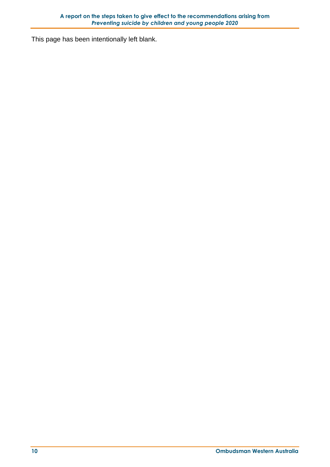This page has been intentionally left blank.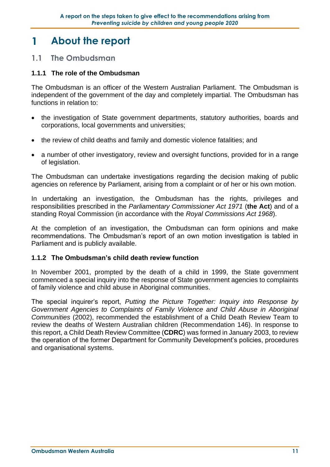#### <span id="page-10-0"></span>**About the report** 1

# <span id="page-10-1"></span>**1.1 The Ombudsman**

# **1.1.1 The role of the Ombudsman**

The Ombudsman is an officer of the Western Australian Parliament. The Ombudsman is independent of the government of the day and completely impartial. The Ombudsman has functions in relation to:

- the investigation of State government departments, statutory authorities, boards and corporations, local governments and universities;
- the review of child deaths and family and domestic violence fatalities; and
- a number of other investigatory, review and oversight functions, provided for in a range of legislation.

The Ombudsman can undertake investigations regarding the decision making of public agencies on reference by Parliament, arising from a complaint or of her or his own motion.

In undertaking an investigation, the Ombudsman has the rights, privileges and responsibilities prescribed in the *Parliamentary Commissioner Act 1971* (**the Act**) and of a standing Royal Commission (in accordance with the *Royal Commissions Act 1968*).

At the completion of an investigation, the Ombudsman can form opinions and make recommendations. The Ombudsman's report of an own motion investigation is tabled in Parliament and is publicly available.

### **1.1.2 The Ombudsman's child death review function**

In November 2001, prompted by the death of a child in 1999, the State government commenced a special inquiry into the response of State government agencies to complaints of family violence and child abuse in Aboriginal communities.

The special inquirer's report, *Putting the Picture Together: Inquiry into Response by Government Agencies to Complaints of Family Violence and Child Abuse in Aboriginal Communities* (2002), recommended the establishment of a Child Death Review Team to review the deaths of Western Australian children (Recommendation 146). In response to this report, a Child Death Review Committee (**CDRC**) was formed in January 2003, to review the operation of the former Department for Community Development's policies, procedures and organisational systems.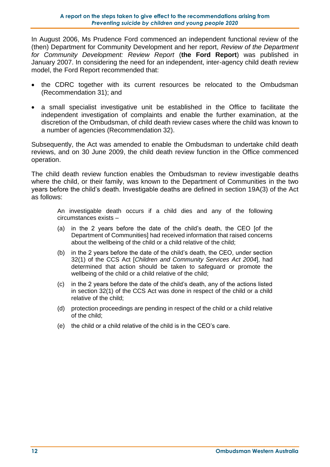In August 2006, Ms Prudence Ford commenced an independent functional review of the (then) Department for Community Development and her report, *Review of the Department for Community Development: Review Report* (**the Ford Report**) was published in January 2007. In considering the need for an independent, inter-agency child death review model, the Ford Report recommended that:

- the CDRC together with its current resources be relocated to the Ombudsman (Recommendation 31); and
- a small specialist investigative unit be established in the Office to facilitate the independent investigation of complaints and enable the further examination, at the discretion of the Ombudsman, of child death review cases where the child was known to a number of agencies (Recommendation 32).

Subsequently, the Act was amended to enable the Ombudsman to undertake child death reviews, and on 30 June 2009, the child death review function in the Office commenced operation.

The child death review function enables the Ombudsman to review investigable deaths where the child, or their family, was known to the Department of Communities in the two years before the child's death. Investigable deaths are defined in section 19A(3) of the Act as follows:

An investigable death occurs if a child dies and any of the following circumstances exists –

- (a) in the 2 years before the date of the child's death, the CEO [of the Department of Communities] had received information that raised concerns about the wellbeing of the child or a child relative of the child;
- (b) in the 2 years before the date of the child's death, the CEO, under section 32(1) of the CCS Act [*Children and Community Services Act 2004*], had determined that action should be taken to safeguard or promote the wellbeing of the child or a child relative of the child;
- (c) in the 2 years before the date of the child's death, any of the actions listed in section 32(1) of the CCS Act was done in respect of the child or a child relative of the child;
- (d) protection proceedings are pending in respect of the child or a child relative of the child;
- (e) the child or a child relative of the child is in the CEO's care.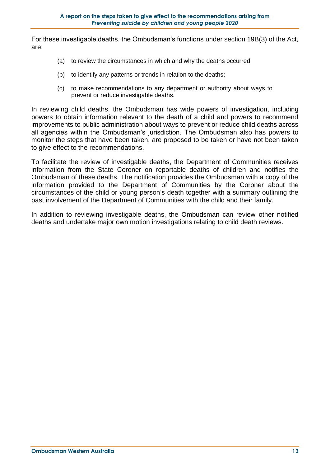For these investigable deaths, the Ombudsman's functions under section 19B(3) of the Act, are:

- (a) to review the circumstances in which and why the deaths occurred;
- (b) to identify any patterns or trends in relation to the deaths;
- (c) to make recommendations to any department or authority about ways to prevent or reduce investigable deaths.

In reviewing child deaths, the Ombudsman has wide powers of investigation, including powers to obtain information relevant to the death of a child and powers to recommend improvements to public administration about ways to prevent or reduce child deaths across all agencies within the Ombudsman's jurisdiction. The Ombudsman also has powers to monitor the steps that have been taken, are proposed to be taken or have not been taken to give effect to the recommendations.

To facilitate the review of investigable deaths, the Department of Communities receives information from the State Coroner on reportable deaths of children and notifies the Ombudsman of these deaths. The notification provides the Ombudsman with a copy of the information provided to the Department of Communities by the Coroner about the circumstances of the child or young person's death together with a summary outlining the past involvement of the Department of Communities with the child and their family.

In addition to reviewing investigable deaths, the Ombudsman can review other notified deaths and undertake major own motion investigations relating to child death reviews.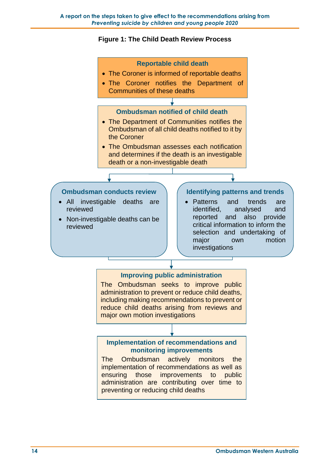### **Figure 1: The Child Death Review Process**

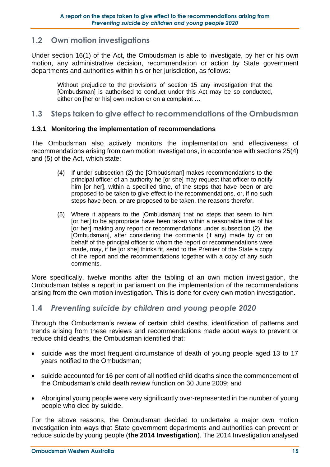# <span id="page-14-0"></span>**1.2 Own motion investigations**

Under section 16(1) of the Act, the Ombudsman is able to investigate, by her or his own motion, any administrative decision, recommendation or action by State government departments and authorities within his or her jurisdiction, as follows:

Without prejudice to the provisions of section 15 any investigation that the [Ombudsman] is authorised to conduct under this Act may be so conducted, either on [her or his] own motion or on a complaint …

# <span id="page-14-1"></span>**1.3 Steps taken to give effect to recommendations of the Ombudsman**

### **1.3.1 Monitoring the implementation of recommendations**

The Ombudsman also actively monitors the implementation and effectiveness of recommendations arising from own motion investigations, in accordance with sections 25(4) and (5) of the Act, which state:

- (4) If under subsection (2) the [Ombudsman] makes recommendations to the principal officer of an authority he [or she] may request that officer to notify him [or her], within a specified time, of the steps that have been or are proposed to be taken to give effect to the recommendations, or, if no such steps have been, or are proposed to be taken, the reasons therefor.
- (5) Where it appears to the [Ombudsman] that no steps that seem to him [or her] to be appropriate have been taken within a reasonable time of his [or her] making any report or recommendations under subsection (2), the [Ombudsman], after considering the comments (if any) made by or on behalf of the principal officer to whom the report or recommendations were made, may, if he [or she] thinks fit, send to the Premier of the State a copy of the report and the recommendations together with a copy of any such comments.

More specifically, twelve months after the tabling of an own motion investigation, the Ombudsman tables a report in parliament on the implementation of the recommendations arising from the own motion investigation. This is done for every own motion investigation.

# <span id="page-14-2"></span>**1.4** *Preventing suicide by children and young people 2020*

Through the Ombudsman's review of certain child deaths, identification of patterns and trends arising from these reviews and recommendations made about ways to prevent or reduce child deaths, the Ombudsman identified that:

- suicide was the most frequent circumstance of death of young people aged 13 to 17 years notified to the Ombudsman;
- suicide accounted for 16 per cent of all notified child deaths since the commencement of the Ombudsman's child death review function on 30 June 2009; and
- Aboriginal young people were very significantly over-represented in the number of young people who died by suicide.

For the above reasons, the Ombudsman decided to undertake a major own motion investigation into ways that State government departments and authorities can prevent or reduce suicide by young people (**the 2014 Investigation**). The 2014 Investigation analysed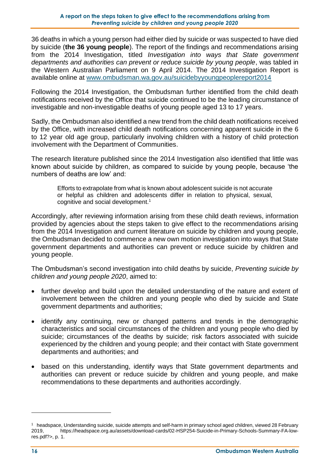36 deaths in which a young person had either died by suicide or was suspected to have died by suicide (**the 36 young people**). The report of the findings and recommendations arising from the 2014 Investigation, titled *Investigation into ways that State government departments and authorities can prevent or reduce suicide by young people*, was tabled in the Western Australian Parliament on 9 April 2014. The 2014 Investigation Report is available online at [www.ombudsman.wa.gov.au/suicidebyyoungpeoplereport2014](http://www.ombudsman.wa.gov.au/Publications/Documents/reports/Suicide-by-young-people/Ombudsman-WA-Suicide-by-Young-People-Investigation-Report-2014.pdf)

Following the 2014 Investigation, the Ombudsman further identified from the child death notifications received by the Office that suicide continued to be the leading circumstance of investigable and non-investigable deaths of young people aged 13 to 17 years.

Sadly, the Ombudsman also identified a new trend from the child death notifications received by the Office, with increased child death notifications concerning apparent suicide in the 6 to 12 year old age group, particularly involving children with a history of child protection involvement with the Department of Communities.

The research literature published since the 2014 Investigation also identified that little was known about suicide by children, as compared to suicide by young people, because 'the numbers of deaths are low' and:

Efforts to extrapolate from what is known about adolescent suicide is not accurate or helpful as children and adolescents differ in relation to physical, sexual, cognitive and social development.<sup>1</sup>

Accordingly, after reviewing information arising from these child death reviews, information provided by agencies about the steps taken to give effect to the recommendations arising from the 2014 Investigation and current literature on suicide by children and young people, the Ombudsman decided to commence a new own motion investigation into ways that State government departments and authorities can prevent or reduce suicide by children and young people.

The Ombudsman's second investigation into child deaths by suicide, *Preventing suicide by children and young people 2020*, aimed to:

- further develop and build upon the detailed understanding of the nature and extent of involvement between the children and young people who died by suicide and State government departments and authorities;
- identify any continuing, new or changed patterns and trends in the demographic characteristics and social circumstances of the children and young people who died by suicide; circumstances of the deaths by suicide; risk factors associated with suicide experienced by the children and young people; and their contact with State government departments and authorities; and
- based on this understanding, identify ways that State government departments and authorities can prevent or reduce suicide by children and young people, and make recommendations to these departments and authorities accordingly.

<sup>1</sup> headspace, Understanding suicide, suicide attempts and self-harm in primary school aged children, viewed 28 February 2019, https://headspace.org.au/assets/download-cards/02-HSP254-Suicide-in-Primary-Schools-Summary-FA-lowres.pdf?>, p. 1.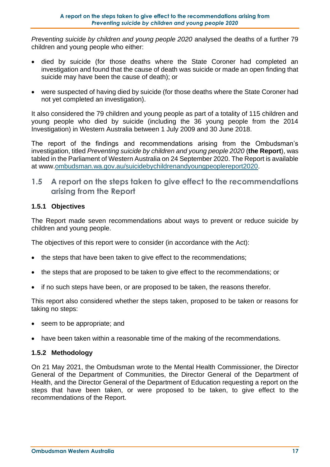*Preventing suicide by children and young people 2020* analysed the deaths of a further 79 children and young people who either:

- died by suicide (for those deaths where the State Coroner had completed an investigation and found that the cause of death was suicide or made an open finding that suicide may have been the cause of death); or
- were suspected of having died by suicide (for those deaths where the State Coroner had not yet completed an investigation).

It also considered the 79 children and young people as part of a totality of 115 children and young people who died by suicide (including the 36 young people from the 2014 Investigation) in Western Australia between 1 July 2009 and 30 June 2018.

The report of the findings and recommendations arising from the Ombudsman's investigation, titled *Preventing suicide by children and young people 2020* (**the Report**), was tabled in the Parliament of Western Australia on 24 September 2020. The Report is available at www[.ombudsman.wa.gov.au/suicidebychildrenandyoungpeoplereport2020.](http://www.ombudsman.wa.gov.au/suicidebychildrenandyoungpeoplereport2020)

# <span id="page-16-0"></span>**1.5 A report on the steps taken to give effect to the recommendations arising from the Report**

### **1.5.1 Objectives**

The Report made seven recommendations about ways to prevent or reduce suicide by children and young people.

The objectives of this report were to consider (in accordance with the Act):

- the steps that have been taken to give effect to the recommendations;
- the steps that are proposed to be taken to give effect to the recommendations; or
- if no such steps have been, or are proposed to be taken, the reasons therefor.

This report also considered whether the steps taken, proposed to be taken or reasons for taking no steps:

- seem to be appropriate; and
- have been taken within a reasonable time of the making of the recommendations.

### **1.5.2 Methodology**

On 21 May 2021, the Ombudsman wrote to the Mental Health Commissioner, the Director General of the Department of Communities, the Director General of the Department of Health, and the Director General of the Department of Education requesting a report on the steps that have been taken, or were proposed to be taken, to give effect to the recommendations of the Report.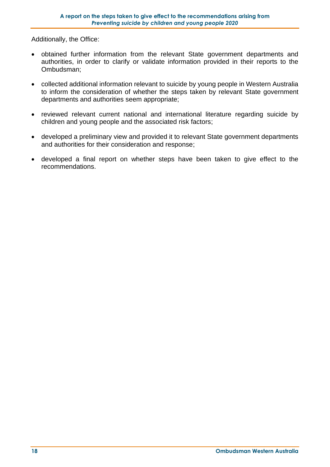Additionally, the Office:

- obtained further information from the relevant State government departments and authorities, in order to clarify or validate information provided in their reports to the Ombudsman;
- collected additional information relevant to suicide by young people in Western Australia to inform the consideration of whether the steps taken by relevant State government departments and authorities seem appropriate;
- reviewed relevant current national and international literature regarding suicide by children and young people and the associated risk factors;
- developed a preliminary view and provided it to relevant State government departments and authorities for their consideration and response;
- developed a final report on whether steps have been taken to give effect to the recommendations.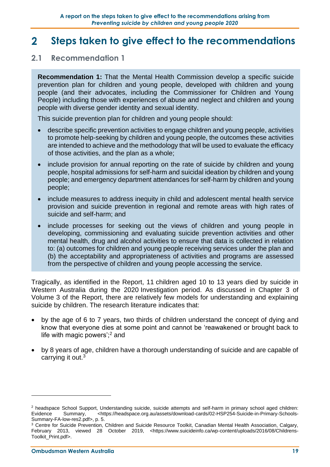#### <span id="page-18-0"></span> $\overline{2}$ **Steps taken to give effect to the recommendations**

# <span id="page-18-1"></span>**2.1 Recommendation 1**

**Recommendation 1:** That the Mental Health Commission develop a specific suicide prevention plan for children and young people, developed with children and young people (and their advocates, including the Commissioner for Children and Young People) including those with experiences of abuse and neglect and children and young people with diverse gender identity and sexual identity.

This suicide prevention plan for children and young people should:

- describe specific prevention activities to engage children and young people, activities to promote help-seeking by children and young people, the outcomes these activities are intended to achieve and the methodology that will be used to evaluate the efficacy of those activities, and the plan as a whole;
- include provision for annual reporting on the rate of suicide by children and young people, hospital admissions for self-harm and suicidal ideation by children and young people; and emergency department attendances for self-harm by children and young people;
- include measures to address inequity in child and adolescent mental health service provision and suicide prevention in regional and remote areas with high rates of suicide and self-harm; and
- include processes for seeking out the views of children and young people in developing, commissioning and evaluating suicide prevention activities and other mental health, drug and alcohol activities to ensure that data is collected in relation to: (a) outcomes for children and young people receiving services under the plan and (b) the acceptability and appropriateness of activities and programs are assessed from the perspective of children and young people accessing the service.

Tragically, as identified in the Report, 11 children aged 10 to 13 years died by suicide in Western Australia during the 2020 Investigation period. As discussed in Chapter 3 of Volume 3 of the Report, there are relatively few models for understanding and explaining suicide by children. The research literature indicates that:

- by the age of 6 to 7 years, two thirds of children understand the concept of dying and know that everyone dies at some point and cannot be 'reawakened or brought back to life with magic powers';<sup>2</sup> and
- by 8 years of age, children have a thorough understanding of suicide and are capable of carrying it out.<sup>3</sup>

<sup>2</sup> headspace School Support, Understanding suicide, suicide attempts and self-harm in primary school aged children: Evidence Summary, <https://headspace.org.au/assets/download-cards/02-HSP254-Suicide-in-Primary-Schools-Summary-FA-low-res2.pdf>, p. 5.

<sup>3</sup> Centre for Suicide Prevention, Children and Suicide Resource Toolkit, Canadian Mental Health Association, Calgary, February 2013, viewed 28 October 2019, <https://www.suicideinfo.ca/wp-content/uploads/2016/08/Childrens-Toolkit\_Print.pdf>.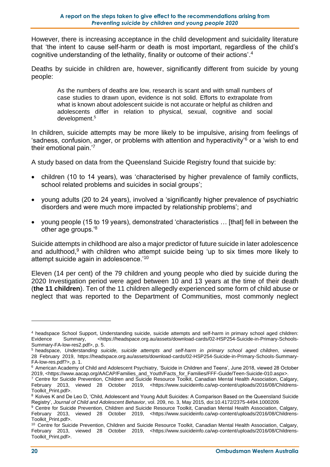However, there is increasing acceptance in the child development and suicidality literature that 'the intent to cause self-harm or death is most important, regardless of the child's cognitive understanding of the lethality, finality or outcome of their actions'. 4

Deaths by suicide in children are, however, significantly different from suicide by young people:

As the numbers of deaths are low, research is scant and with small numbers of case studies to drawn upon, evidence is not solid. Efforts to extrapolate from what is known about adolescent suicide is not accurate or helpful as children and adolescents differ in relation to physical, sexual, cognitive and social development.<sup>5</sup>

In children, suicide attempts may be more likely to be impulsive, arising from feelings of 'sadness, confusion, anger, or problems with attention and hyperactivity'<sup>6</sup> or a 'wish to end their emotional pain.'<sup>7</sup>

A study based on data from the Queensland Suicide Registry found that suicide by:

- children (10 to 14 years), was 'characterised by higher prevalence of family conflicts, school related problems and suicides in social groups';
- young adults (20 to 24 years), involved a 'significantly higher prevalence of psychiatric disorders and were much more impacted by relationship problems'; and
- young people (15 to 19 years), demonstrated 'characteristics … [that] fell in between the other age groups.'<sup>8</sup>

Suicide attempts in childhood are also a major predictor of future suicide in later adolescence and adulthood, $9$  with children who attempt suicide being 'up to six times more likely to attempt suicide again in adolescence.'<sup>10</sup>

Eleven (14 per cent) of the 79 children and young people who died by suicide during the 2020 Investigation period were aged between 10 and 13 years at the time of their death (**the 11 children**). Ten of the 11 children allegedly experienced some form of child abuse or neglect that was reported to the Department of Communities, most commonly neglect

<sup>4</sup> headspace School Support, Understanding suicide, suicide attempts and self-harm in primary school aged children: Evidence Summary, <https://headspace.org.au/assets/download-cards/02-HSP254-Suicide-in-Primary-Schools-Summary-FA-low-res2.pdf>, p. 5.

<sup>5</sup> headspace, *Understanding suicide, suicide attempts and self-harm in primary school aged children*, viewed 28 February 2019, https://headspace.org.au/assets/download-cards/02-HSP254-Suicide-in-Primary-Schools-Summary-FA-low-res.pdf?>, p. 1.

<sup>6</sup> American Academy of Child and Adolescent Psychiatry, 'Suicide in Children and Teens', June 2018, viewed 28 October 2019, <https://www.aacap.org/AACAP/Families\_and\_Youth/Facts\_for\_Families/FFF-Guide/Teen-Suicide-010.aspx>.

<sup>7</sup> Centre for Suicide Prevention, Children and Suicide Resource Toolkit, Canadian Mental Health Association, Calgary, February 2013, viewed 28 October 2019, <https://www.suicideinfo.ca/wp-content/uploads/2016/08/Childrens-Toolkit\_Print.pdf>.

<sup>8</sup> Kolves K and De Leo D, 'Child, Adolescent and Young Adult Suicides: A Comparison Based on the Queensland Suicide Registry', *Journal of Child and Adolescent Behavior*, vol. 209, no. 3, May 2015, doi:10.4172/2375-4494.1000209.

<sup>9</sup> Centre for Suicide Prevention, Children and Suicide Resource Toolkit, Canadian Mental Health Association, Calgary, February 2013, viewed 28 October 2019, <https://www.suicideinfo.ca/wp-content/uploads/2016/08/Childrens-Toolkit\_Print.pdf>.

<sup>10</sup> Centre for Suicide Prevention, Children and Suicide Resource Toolkit, Canadian Mental Health Association, Calgary, February 2013, viewed 28 October 2019, <https://www.suicideinfo.ca/wp-content/uploads/2016/08/Childrens-Toolkit\_Print.pdf>.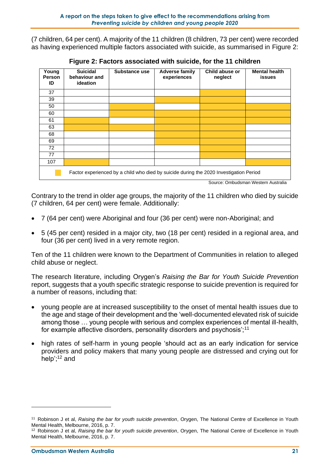(7 children, 64 per cent). A majority of the 11 children (8 children, 73 per cent) were recorded as having experienced multiple factors associated with suicide, as summarised in [Figure 2:](#page-20-0)

<span id="page-20-0"></span>

| Young<br><b>Person</b><br>ID                                                                                                  | <b>Suicidal</b><br>behaviour and<br><b>ideation</b> | Substance use | <b>Adverse family</b><br>experiences | Child abuse or<br>neglect | <b>Mental health</b><br><b>issues</b> |
|-------------------------------------------------------------------------------------------------------------------------------|-----------------------------------------------------|---------------|--------------------------------------|---------------------------|---------------------------------------|
| 37                                                                                                                            |                                                     |               |                                      |                           |                                       |
| 39                                                                                                                            |                                                     |               |                                      |                           |                                       |
| 50                                                                                                                            |                                                     |               |                                      |                           |                                       |
| 60                                                                                                                            |                                                     |               |                                      |                           |                                       |
| 61                                                                                                                            |                                                     |               |                                      |                           |                                       |
| 63                                                                                                                            |                                                     |               |                                      |                           |                                       |
| 68                                                                                                                            |                                                     |               |                                      |                           |                                       |
| 69                                                                                                                            |                                                     |               |                                      |                           |                                       |
| 72                                                                                                                            |                                                     |               |                                      |                           |                                       |
| 77                                                                                                                            |                                                     |               |                                      |                           |                                       |
| 107                                                                                                                           |                                                     |               |                                      |                           |                                       |
| Factor experienced by a child who died by suicide during the 2020 Investigation Period<br>Source: Ombudsman Western Australia |                                                     |               |                                      |                           |                                       |

**Figure 2: Factors associated with suicide, for the 11 children**

Contrary to the trend in older age groups, the majority of the 11 children who died by suicide (7 children, 64 per cent) were female. Additionally:

- 7 (64 per cent) were Aboriginal and four (36 per cent) were non-Aboriginal; and
- 5 (45 per cent) resided in a major city, two (18 per cent) resided in a regional area, and four (36 per cent) lived in a very remote region.

Ten of the 11 children were known to the Department of Communities in relation to alleged child abuse or neglect.

The research literature, including Orygen's *Raising the Bar for Youth Suicide Prevention* report, suggests that a youth specific strategic response to suicide prevention is required for a number of reasons, including that:

- young people are at increased susceptibility to the onset of mental health issues due to the age and stage of their development and the 'well-documented elevated risk of suicide among those … young people with serious and complex experiences of mental ill-health, for example affective disorders, personality disorders and psychosis';<sup>11</sup>
- high rates of self-harm in young people 'should act as an early indication for service providers and policy makers that many young people are distressed and crying out for help';<sup>12</sup> and

<sup>11</sup> Robinson J et al, *Raising the bar for youth suicide prevention*, Orygen, The National Centre of Excellence in Youth Mental Health, Melbourne, 2016, p. 7.

<sup>12</sup> Robinson J et al, *Raising the bar for youth suicide prevention*, Orygen, The National Centre of Excellence in Youth Mental Health, Melbourne, 2016, p. 7.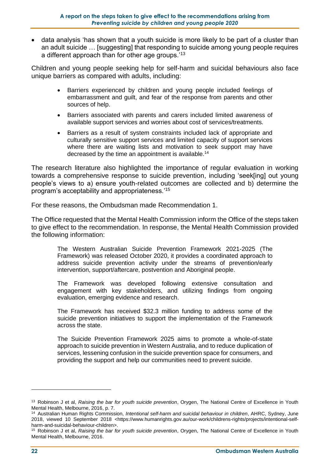• data analysis 'has shown that a youth suicide is more likely to be part of a cluster than an adult suicide … [suggesting] that responding to suicide among young people requires a different approach than for other age groups.'<sup>13</sup>

Children and young people seeking help for self-harm and suicidal behaviours also face unique barriers as compared with adults, including:

- Barriers experienced by children and young people included feelings of embarrassment and guilt, and fear of the response from parents and other sources of help.
- Barriers associated with parents and carers included limited awareness of available support services and worries about cost of services/treatments.
- Barriers as a result of system constraints included lack of appropriate and culturally sensitive support services and limited capacity of support services where there are waiting lists and motivation to seek support may have decreased by the time an appointment is available.<sup>14</sup>

The research literature also highlighted the importance of regular evaluation in working towards a comprehensive response to suicide prevention, including 'seek[ing] out young people's views to a) ensure youth-related outcomes are collected and b) determine the program's acceptability and appropriateness.' 15

For these reasons, the Ombudsman made Recommendation 1.

The Office requested that the Mental Health Commission inform the Office of the steps taken to give effect to the recommendation. In response, the Mental Health Commission provided the following information:

The Western Australian Suicide Prevention Framework 2021-2025 (The Framework) was released October 2020, it provides a coordinated approach to address suicide prevention activity under the streams of prevention/early intervention, support/aftercare, postvention and Aboriginal people.

The Framework was developed following extensive consultation and engagement with key stakeholders, and utilizing findings from ongoing evaluation, emerging evidence and research.

The Framework has received \$32.3 million funding to address some of the suicide prevention initiatives to support the implementation of the Framework across the state.

The Suicide Prevention Framework 2025 aims to promote a whole-of-state approach to suicide prevention in Western Australia, and to reduce duplication of services, lessening confusion in the suicide prevention space for consumers, and providing the support and help our communities need to prevent suicide.

<sup>13</sup> Robinson J et al, *Raising the bar for youth suicide prevention*, Orygen, The National Centre of Excellence in Youth Mental Health, Melbourne, 2016, p. 7.

<sup>14</sup> Australian Human Rights Commission, *Intentional self-harm and suicidal behaviour in children*, AHRC, Sydney, June 2018, viewed 10 September 2018 <https://www.humanrights.gov.au/our-work/childrens-rights/projects/intentional-selfharm-and-suicidal-behaviour-children>.

<sup>15</sup> Robinson J et al, *Raising the bar for youth suicide prevention*, Orygen, The National Centre of Excellence in Youth Mental Health, Melbourne, 2016.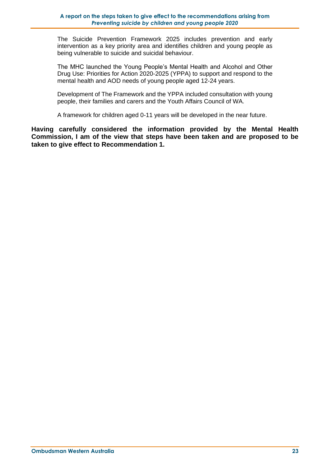The Suicide Prevention Framework 2025 includes prevention and early intervention as a key priority area and identifies children and young people as being vulnerable to suicide and suicidal behaviour.

The MHC launched the Young People's Mental Health and Alcohol and Other Drug Use: Priorities for Action 2020-2025 (YPPA) to support and respond to the mental health and AOD needs of young people aged 12-24 years.

Development of The Framework and the YPPA included consultation with young people, their families and carers and the Youth Affairs Council of WA.

A framework for children aged 0-11 years will be developed in the near future.

**Having carefully considered the information provided by the Mental Health Commission, I am of the view that steps have been taken and are proposed to be taken to give effect to Recommendation 1.**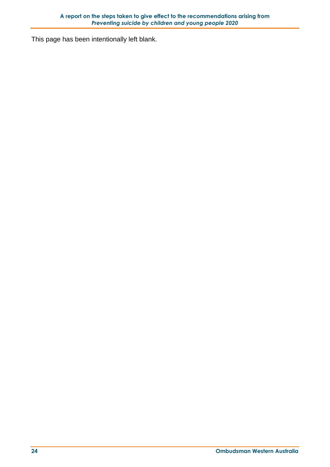This page has been intentionally left blank.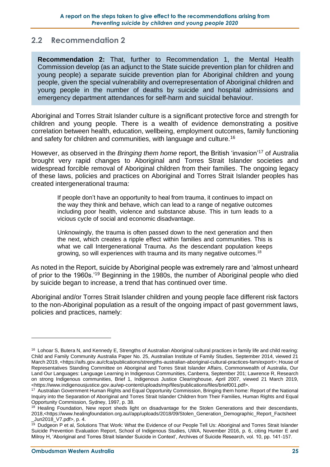# <span id="page-24-0"></span>**2.2 Recommendation 2**

**Recommendation 2:** That, further to Recommendation 1, the Mental Health Commission develop (as an adjunct to the State suicide prevention plan for children and young people) a separate suicide prevention plan for Aboriginal children and young people, given the special vulnerability and overrepresentation of Aboriginal children and young people in the number of deaths by suicide and hospital admissions and emergency department attendances for self-harm and suicidal behaviour.

Aboriginal and Torres Strait Islander culture is a significant protective force and strength for children and young people. There is a wealth of evidence demonstrating a positive correlation between health, education, wellbeing, employment outcomes, family functioning and safety for children and communities, with language and culture.<sup>16</sup>

However, as observed in the *Bringing them home* report, the British 'invasion'<sup>17</sup> of Australia brought very rapid changes to Aboriginal and Torres Strait Islander societies and widespread forcible removal of Aboriginal children from their families. The ongoing legacy of these laws, policies and practices on Aboriginal and Torres Strait Islander peoples has created intergenerational trauma:

If people don't have an opportunity to heal from trauma, it continues to impact on the way they think and behave, which can lead to a range of negative outcomes including poor health, violence and substance abuse. This in turn leads to a vicious cycle of social and economic disadvantage.

Unknowingly, the trauma is often passed down to the next generation and then the next, which creates a ripple effect within families and communities. This is what we call Intergenerational Trauma. As the descendant population keeps growing, so will experiences with trauma and its many negative outcomes.<sup>18</sup>

As noted in the Report, suicide by Aboriginal people was extremely rare and 'almost unheard of prior to the 1960s.'<sup>19</sup> Beginning in the 1980s, the number of Aboriginal people who died by suicide began to increase, a trend that has continued over time.

Aboriginal and/or Torres Strait Islander children and young people face different risk factors to the non-Aboriginal population as a result of the ongoing impact of past government laws, policies and practices, namely:

<sup>&</sup>lt;sup>16</sup> Lohoar S, Butera N, and Kennedy E, Strengths of Australian Aboriginal cultural practices in family life and child rearing: Child and Family Community Australia Paper No. 25, Australian Institute of Family Studies, September 2014, viewed 21 March 2019, <https://aifs.gov.au/cfca/publications/strengths-australian-aboriginal-cultural-practices-fam/export>; House of Representatives Standing Committee on Aboriginal and Torres Strait Islander Affairs, Commonwealth of Australia, Our Land Our Languages: Language Learning in Indigenous Communities, Canberra, September 201; Lawrence R, Research on strong Indigenous communities, Brief 1, Indigenous Justice Clearinghouse, April 2007, viewed 21 March 2019, <https://www.indigenousjustice.gov.au/wp-content/uploads/mp/files/publications/files/brief001.pdf>.

<sup>17</sup> Australian Government Human Rights and Equal Opportunity Commission, Bringing them home: Report of the National Inquiry into the Separation of Aboriginal and Torres Strait Islander Children from Their Families, Human Rights and Equal Opportunity Commission, Sydney, 1997, p. 38.

<sup>&</sup>lt;sup>18</sup> Healing Foundation, New report sheds light on disadvantage for the Stolen Generations and their descendants, 2018,<https://www.healingfoundation.org.au//app/uploads/2018/09/Stolen\_Generation\_Demographic\_Report\_Factsheet \_Jun2018\_V7.pdf>, p. 4.

<sup>&</sup>lt;sup>19</sup> Dudgeon P et al, Solutions That Work: What the Evidence of our People Tell Us: Aboriginal and Torres Strait Islander Suicide Prevention Evaluation Report, School of Indigenous Studies, UWA, November 2016, p. 6, citing Hunter E and Milroy H, 'Aboriginal and Torres Strait Islander Suicide in Context', Archives of Suicide Research, vol. 10, pp. 141-157.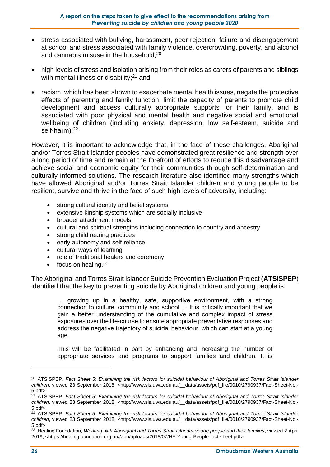- stress associated with bullying, harassment, peer rejection, failure and disengagement at school and stress associated with family violence, overcrowding, poverty, and alcohol and cannabis misuse in the household;<sup>20</sup>
- high levels of stress and isolation arising from their roles as carers of parents and siblings with mental illness or disability;<sup>21</sup> and
- racism, which has been shown to exacerbate mental health issues, negate the protective effects of parenting and family function, limit the capacity of parents to promote child development and access culturally appropriate supports for their family, and is associated with poor physical and mental health and negative social and emotional wellbeing of children (including anxiety, depression, low self-esteem, suicide and self-harm).<sup>22</sup>

However, it is important to acknowledge that, in the face of these challenges, Aboriginal and/or Torres Strait Islander peoples have demonstrated great resilience and strength over a long period of time and remain at the forefront of efforts to reduce this disadvantage and achieve social and economic equity for their communities through self-determination and culturally informed solutions. The research literature also identified many strengths which have allowed Aboriginal and/or Torres Strait Islander children and young people to be resilient, survive and thrive in the face of such high levels of adversity, including:

- strong cultural identity and belief systems
- extensive kinship systems which are socially inclusive
- broader attachment models
- cultural and spiritual strengths including connection to country and ancestry
- strong child rearing practices
- early autonomy and self-reliance
- cultural ways of learning
- role of traditional healers and ceremony
- focus on healing. $23$

The Aboriginal and Torres Strait Islander Suicide Prevention Evaluation Project (**ATSISPEP**) identified that the key to preventing suicide by Aboriginal children and young people is:

… growing up in a healthy, safe, supportive environment, with a strong connection to culture, community and school … It is critically important that we gain a better understanding of the cumulative and complex impact of stress exposures over the life-course to ensure appropriate preventative responses and address the negative trajectory of suicidal behaviour, which can start at a young age.

This will be facilitated in part by enhancing and increasing the number of appropriate services and programs to support families and children. It is

<sup>20</sup> ATSISPEP, *Fact Sheet 5: Examining the risk factors for suicidal behaviour of Aboriginal and Torres Strait Islander children*, viewed 23 September 2018, <http://www.sis.uwa.edu.au/\_\_data/assets/pdf\_file/0010/2790937/Fact-Sheet-No.- 5.pdf>.

<sup>21</sup> ATSISPEP, *Fact Sheet 5: Examining the risk factors for suicidal behaviour of Aboriginal and Torres Strait Islander children*, viewed 23 September 2018, <http://www.sis.uwa.edu.au/\_\_data/assets/pdf\_file/0010/2790937/Fact-Sheet-No.- 5.pdf>.

<sup>22</sup> ATSISPEP, *Fact Sheet 5: Examining the risk factors for suicidal behaviour of Aboriginal and Torres Strait Islander children*, viewed 23 September 2018, <http://www.sis.uwa.edu.au/\_\_data/assets/pdf\_file/0010/2790937/Fact-Sheet-No.- 5.pdf>.

<sup>23</sup> Healing Foundation, *Working with Aboriginal and Torres Strait Islander young people and their families*, viewed 2 April 2019, <https://healingfoundation.org.au//app/uploads/2018/07/HF-Young-People-fact-sheet.pdf>.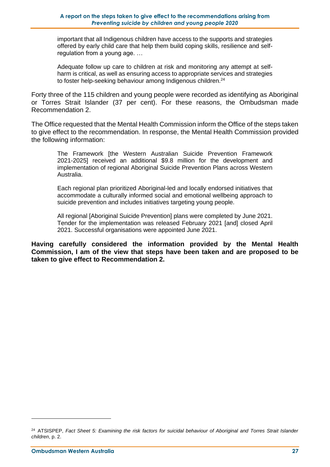important that all Indigenous children have access to the supports and strategies offered by early child care that help them build coping skills, resilience and selfregulation from a young age. …

Adequate follow up care to children at risk and monitoring any attempt at selfharm is critical, as well as ensuring access to appropriate services and strategies to foster help-seeking behaviour among Indigenous children.<sup>24</sup>

Forty three of the 115 children and young people were recorded as identifying as Aboriginal or Torres Strait Islander (37 per cent). For these reasons, the Ombudsman made Recommendation 2.

The Office requested that the Mental Health Commission inform the Office of the steps taken to give effect to the recommendation. In response, the Mental Health Commission provided the following information:

The Framework [the Western Australian Suicide Prevention Framework 2021-2025] received an additional \$9.8 million for the development and implementation of regional Aboriginal Suicide Prevention Plans across Western Australia.

Each regional plan prioritized Aboriginal-led and locally endorsed initiatives that accommodate a culturally informed social and emotional wellbeing approach to suicide prevention and includes initiatives targeting young people.

All regional [Aboriginal Suicide Prevention] plans were completed by June 2021. Tender for the implementation was released February 2021 [and] closed April 2021. Successful organisations were appointed June 2021.

**Having carefully considered the information provided by the Mental Health Commission, I am of the view that steps have been taken and are proposed to be taken to give effect to Recommendation 2.**

<sup>24</sup> ATSISPEP, *Fact Sheet 5: Examining the risk factors for suicidal behaviour of Aboriginal and Torres Strait Islander children*, p. 2.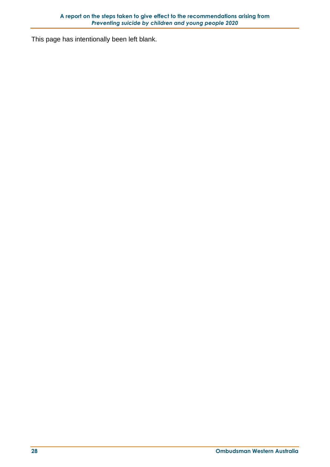This page has intentionally been left blank.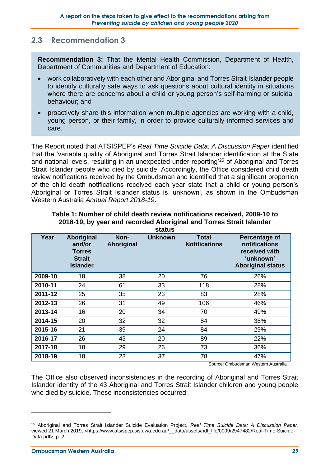# <span id="page-28-0"></span>**2.3 Recommendation 3**

**Recommendation 3:** That the Mental Health Commission, Department of Health, Department of Communities and Department of Education:

- work collaboratively with each other and Aboriginal and Torres Strait Islander people to identify culturally safe ways to ask questions about cultural identity in situations where there are concerns about a child or young person's self-harming or suicidal behaviour; and
- proactively share this information when multiple agencies are working with a child, young person, or their family, in order to provide culturally informed services and care.

The Report noted that ATSISPEP's *Real Time Suicide Data: A Discussion Paper* identified that the 'variable quality of Aboriginal and Torres Strait Islander identification at the State and national levels, resulting in an unexpected under-reporting'<sup>25</sup> of Aboriginal and Torres Strait Islander people who died by suicide. Accordingly, the Office considered child death review notifications received by the Ombudsman and identified that a significant proportion of the child death notifications received each year state that a child or young person's Aboriginal or Torres Strait Islander status is 'unknown', as shown in the Ombudsman Western Australia *Annual Report 2018-19*.

| Year    | Aboriginal<br>and/or<br><b>Torres</b><br><b>Strait</b><br><b>Islander</b> | Non-<br>Aboriginal | <b>Unknown</b> | <b>Total</b><br><b>Notifications</b> | Percentage of<br>notifications<br>received with<br>'unknown'<br><b>Aboriginal status</b> |
|---------|---------------------------------------------------------------------------|--------------------|----------------|--------------------------------------|------------------------------------------------------------------------------------------|
| 2009-10 | 18                                                                        | 38                 | 20             | 76                                   | 26%                                                                                      |
| 2010-11 | 24                                                                        | 61                 | 33             | 118                                  | 28%                                                                                      |
| 2011-12 | 25                                                                        | 35                 | 23             | 83                                   | 28%                                                                                      |
| 2012-13 | 26                                                                        | 31                 | 49             | 106                                  | 46%                                                                                      |
| 2013-14 | 16                                                                        | 20                 | 34             | 70                                   | 49%                                                                                      |
| 2014-15 | 20                                                                        | 32                 | 32             | 84                                   | 38%                                                                                      |
| 2015-16 | 21                                                                        | 39                 | 24             | 84                                   | 29%                                                                                      |
| 2016-17 | 26                                                                        | 43                 | 20             | 89                                   | 22%                                                                                      |
| 2017-18 | 18                                                                        | 29                 | 26             | 73                                   | 36%                                                                                      |
| 2018-19 | 18                                                                        | 23                 | 37             | 78                                   | 47%                                                                                      |

**Table 1: Number of child death review notifications received, 2009-10 to 2018-19, by year and recorded Aboriginal and Torres Strait Islander** 

Source: Ombudsman Western Australia

The Office also observed inconsistencies in the recording of Aboriginal and Torres Strait Islander identity of the 43 Aboriginal and Torres Strait Islander children and young people who died by suicide. These inconsistencies occurred:

<sup>25</sup> Aboriginal and Torres Strait Islander Suicide Evaluation Project, *Real Time Suicide Data: A Discussion Paper*, viewed 21 March 2019, <https://www.atsispep.sis.uwa.edu.au/\_\_data/assets/pdf\_file/0009/2947482/Real-Time-Suicide-Data.pdf>, p. 2.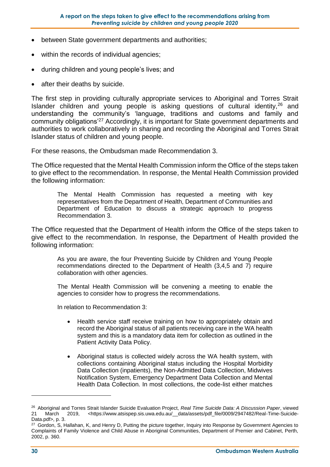- between State government departments and authorities;
- within the records of individual agencies;
- during children and young people's lives; and
- after their deaths by suicide.

The first step in providing culturally appropriate services to Aboriginal and Torres Strait Islander children and young people is asking questions of cultural identity, $26$  and understanding the community's 'language, traditions and customs and family and community obligations'<sup>27</sup> Accordingly, it is important for State government departments and authorities to work collaboratively in sharing and recording the Aboriginal and Torres Strait Islander status of children and young people.

For these reasons, the Ombudsman made Recommendation 3.

The Office requested that the Mental Health Commission inform the Office of the steps taken to give effect to the recommendation. In response, the Mental Health Commission provided the following information:

The Mental Health Commission has requested a meeting with key representatives from the Department of Health, Department of Communities and Department of Education to discuss a strategic approach to progress Recommendation 3.

The Office requested that the Department of Health inform the Office of the steps taken to give effect to the recommendation. In response, the Department of Health provided the following information:

As you are aware, the four Preventing Suicide by Children and Young People recommendations directed to the Department of Health (3,4,5 and 7) require collaboration with other agencies.

The Mental Health Commission will be convening a meeting to enable the agencies to consider how to progress the recommendations.

In relation to Recommendation 3:

- Health service staff receive training on how to appropriately obtain and record the Aboriginal status of all patients receiving care in the WA health system and this is a mandatory data item for collection as outlined in the Patient Activity Data Policy.
- Aboriginal status is collected widely across the WA health system, with collections containing Aboriginal status including the Hospital Morbidity Data Collection (inpatients), the Non-Admitted Data Collection, Midwives Notification System, Emergency Department Data Collection and Mental Health Data Collection. In most collections, the code-list either matches

<sup>26</sup> Aboriginal and Torres Strait Islander Suicide Evaluation Project, *Real Time Suicide Data: A Discussion Paper*, viewed 21 March 2019, <https://www.atsispep.sis.uwa.edu.au/\_\_data/assets/pdf\_file/0009/2947482/Real-Time-Suicide-Data.pdf>, p. 3.

<sup>&</sup>lt;sup>27</sup> Gordon, S, Hallahan, K, and Henry D, Putting the picture together, Inquiry into Response by Government Agencies to Complaints of Family Violence and Child Abuse in Aboriginal Communities, Department of Premier and Cabinet, Perth, 2002, p. 360.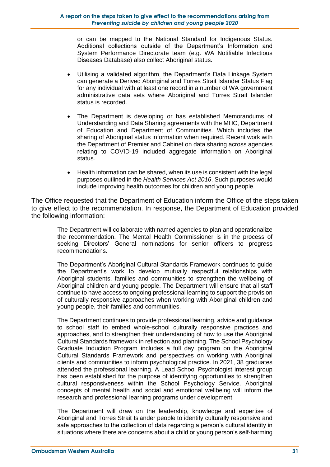or can be mapped to the National Standard for Indigenous Status. Additional collections outside of the Department's Information and System Performance Directorate team (e.g. WA Notifiable Infectious Diseases Database) also collect Aboriginal status.

- Utilising a validated algorithm, the Department's Data Linkage System can generate a Derived Aboriginal and Torres Strait Islander Status Flag for any individual with at least one record in a number of WA government administrative data sets where Aboriginal and Torres Strait Islander status is recorded.
- The Department is developing or has established Memorandums of Understanding and Data Sharing agreements with the MHC, Department of Education and Department of Communities. Which includes the sharing of Aboriginal status information when required. Recent work with the Department of Premier and Cabinet on data sharing across agencies relating to COVID-19 included aggregate information on Aboriginal status.
- Health information can be shared, when its use is consistent with the legal purposes outlined in the *Health Services Act 2016*. Such purposes would include improving health outcomes for children and young people.

The Office requested that the Department of Education inform the Office of the steps taken to give effect to the recommendation. In response, the Department of Education provided the following information:

The Department will collaborate with named agencies to plan and operationalize the recommendation. The Mental Health Commissioner is in the process of seeking Directors' General nominations for senior officers to progress recommendations.

The Department's Aboriginal Cultural Standards Framework continues to guide the Department's work to develop mutually respectful relationships with Aboriginal students, families and communities to strengthen the wellbeing of Aboriginal children and young people. The Department will ensure that all staff continue to have access to ongoing professional learning to support the provision of culturally responsive approaches when working with Aboriginal children and young people, their families and communities.

The Department continues to provide professional learning, advice and guidance to school staff to embed whole-school culturally responsive practices and approaches, and to strengthen their understanding of how to use the Aboriginal Cultural Standards framework in reflection and planning. The School Psychology Graduate Induction Program includes a full day program on the Aboriginal Cultural Standards Framework and perspectives on working with Aboriginal clients and communities to inform psychological practice. In 2021, 38 graduates attended the professional learning. A Lead School Psychologist interest group has been established for the purpose of identifying opportunities to strengthen cultural responsiveness within the School Psychology Service. Aboriginal concepts of mental health and social and emotional wellbeing will inform the research and professional learning programs under development.

The Department will draw on the leadership, knowledge and expertise of Aboriginal and Torres Strait Islander people to identify culturally responsive and safe approaches to the collection of data regarding a person's cultural identity in situations where there are concerns about a child or young person's self-harming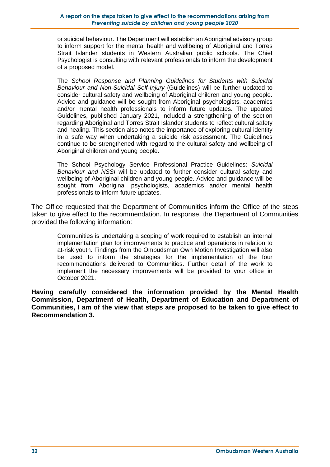or suicidal behaviour. The Department will establish an Aboriginal advisory group to inform support for the mental health and wellbeing of Aboriginal and Torres Strait Islander students in Western Australian public schools. The Chief Psychologist is consulting with relevant professionals to inform the development of a proposed model.

The *School Response and Planning Guidelines for Students with Suicidal Behaviour and Non-Suicidal Self-Injury* (Guidelines) will be further updated to consider cultural safety and wellbeing of Aboriginal children and young people. Advice and guidance will be sought from Aboriginal psychologists, academics and/or mental health professionals to inform future updates. The updated Guidelines, published January 2021, included a strengthening of the section regarding Aboriginal and Torres Strait Islander students to reflect cultural safety and healing. This section also notes the importance of exploring cultural identity in a safe way when undertaking a suicide risk assessment. The Guidelines continue to be strengthened with regard to the cultural safety and wellbeing of Aboriginal children and young people.

The School Psychology Service Professional Practice Guidelines: *Suicidal Behaviour and NSSI* will be updated to further consider cultural safety and wellbeing of Aboriginal children and young people. Advice and guidance will be sought from Aboriginal psychologists, academics and/or mental health professionals to inform future updates.

The Office requested that the Department of Communities inform the Office of the steps taken to give effect to the recommendation. In response, the Department of Communities provided the following information:

Communities is undertaking a scoping of work required to establish an internal implementation plan for improvements to practice and operations in relation to at-risk youth. Findings from the Ombudsman Own Motion Investigation will also be used to inform the strategies for the implementation of the four recommendations delivered to Communities. Further detail of the work to implement the necessary improvements will be provided to your office in October 2021.

**Having carefully considered the information provided by the Mental Health Commission, Department of Health, Department of Education and Department of Communities, I am of the view that steps are proposed to be taken to give effect to Recommendation 3.**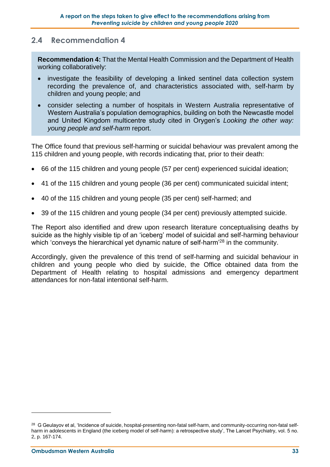# <span id="page-32-0"></span>**2.4 Recommendation 4**

**Recommendation 4:** That the Mental Health Commission and the Department of Health working collaboratively:

- investigate the feasibility of developing a linked sentinel data collection system recording the prevalence of, and characteristics associated with, self-harm by children and young people; and
- consider selecting a number of hospitals in Western Australia representative of Western Australia's population demographics, building on both the Newcastle model and United Kingdom multicentre study cited in Orygen's *Looking the other way: young people and self-harm* report.

The Office found that previous self-harming or suicidal behaviour was prevalent among the 115 children and young people, with records indicating that, prior to their death:

- 66 of the 115 children and young people (57 per cent) experienced suicidal ideation;
- 41 of the 115 children and young people (36 per cent) communicated suicidal intent;
- 40 of the 115 children and young people (35 per cent) self-harmed; and
- 39 of the 115 children and young people (34 per cent) previously attempted suicide.

The Report also identified and drew upon research literature conceptualising deaths by suicide as the highly visible tip of an 'iceberg' model of suicidal and self-harming behaviour which 'conveys the hierarchical yet dynamic nature of self-harm<sup>'28</sup> in the community.

Accordingly, given the prevalence of this trend of self-harming and suicidal behaviour in children and young people who died by suicide, the Office obtained data from the Department of Health relating to hospital admissions and emergency department attendances for non-fatal intentional self-harm.

<sup>&</sup>lt;sup>28</sup> G Geulayov et al, 'Incidence of suicide, hospital-presenting non-fatal self-harm, and community-occurring non-fatal selfharm in adolescents in England (the iceberg model of self-harm): a retrospective study', The Lancet Psychiatry, vol. 5 no. 2, p. 167-174.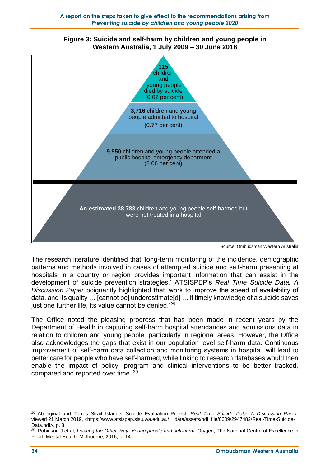



Source: Ombudsman Western Australia

The research literature identified that 'long-term monitoring of the incidence, demographic patterns and methods involved in cases of attempted suicide and self-harm presenting at hospitals in a country or region provides important information that can assist in the development of suicide prevention strategies.' ATSISPEP's *Real Time Suicide Data: A Discussion Paper* poignantly highlighted that 'work to improve the speed of availability of data, and its quality … [cannot be] underestimate[d] … if timely knowledge of a suicide saves just one further life, its value cannot be denied.<sup>'29</sup>

The Office noted the pleasing progress that has been made in recent years by the Department of Health in capturing self-harm hospital attendances and admissions data in relation to children and young people, particularly in regional areas. However, the Office also acknowledges the gaps that exist in our population level self-harm data. Continuous improvement of self-harm data collection and monitoring systems in hospital 'will lead to better care for people who have self-harmed, while linking to research databases would then enable the impact of policy, program and clinical interventions to be better tracked, compared and reported over time.'<sup>30</sup>

<sup>29</sup> Aboriginal and Torres Strait Islander Suicide Evaluation Project, *Real Time Suicide Data: A Discussion Paper*, viewed 21 March 2019, <https://www.atsispep.sis.uwa.edu.au/\_\_data/assets/pdf\_file/0009/2947482/Real-Time-Suicide-Data.pdf>, p. 8.

<sup>30</sup> Robinson J et al, *Looking the Other Way: Young people and self-harm,* Orygen, The National Centre of Excellence in Youth Mental Health, Melbourne, 2016, p. 14.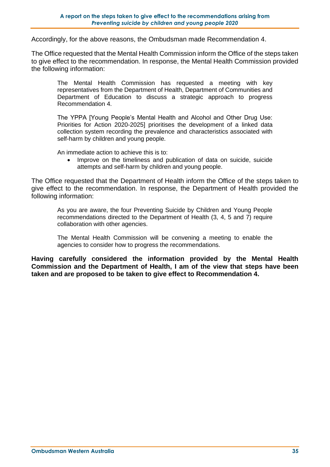Accordingly, for the above reasons, the Ombudsman made Recommendation 4.

The Office requested that the Mental Health Commission inform the Office of the steps taken to give effect to the recommendation. In response, the Mental Health Commission provided the following information:

The Mental Health Commission has requested a meeting with key representatives from the Department of Health, Department of Communities and Department of Education to discuss a strategic approach to progress Recommendation 4.

The YPPA [Young People's Mental Health and Alcohol and Other Drug Use: Priorities for Action 2020-2025] prioritises the development of a linked data collection system recording the prevalence and characteristics associated with self-harm by children and young people.

An immediate action to achieve this is to:

• Improve on the timeliness and publication of data on suicide, suicide attempts and self-harm by children and young people.

The Office requested that the Department of Health inform the Office of the steps taken to give effect to the recommendation. In response, the Department of Health provided the following information:

As you are aware, the four Preventing Suicide by Children and Young People recommendations directed to the Department of Health (3, 4, 5 and 7) require collaboration with other agencies.

The Mental Health Commission will be convening a meeting to enable the agencies to consider how to progress the recommendations.

**Having carefully considered the information provided by the Mental Health Commission and the Department of Health, I am of the view that steps have been taken and are proposed to be taken to give effect to Recommendation 4.**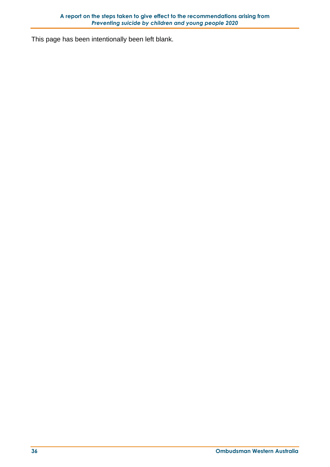This page has been intentionally been left blank.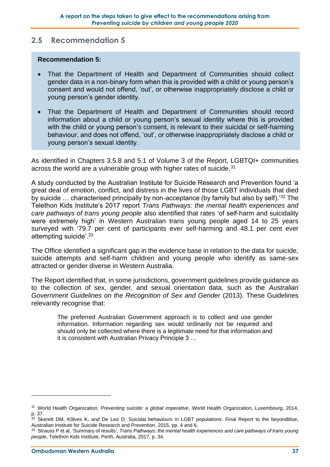# <span id="page-36-0"></span>**2.5 Recommendation 5**

#### **Recommendation 5:**

- That the Department of Health and Department of Communities should collect gender data in a non-binary form when this is provided with a child or young person's consent and would not offend, 'out', or otherwise inappropriately disclose a child or young person's gender identity.
- That the Department of Health and Department of Communities should record information about a child or young person's sexual identity where this is provided with the child or young person's consent, is relevant to their suicidal or self-harming behaviour, and does not offend, 'out', or otherwise inappropriately disclose a child or young person's sexual identity.

As identified in Chapters 3.5.8 and 5.1 of Volume 3 of the Report, LGBTQI+ communities across the world are a vulnerable group with higher rates of suicide.<sup>31</sup>

A study conducted by the Australian Institute for Suicide Research and Prevention found 'a great deal of emotion, conflict, and distress in the lives of those LGBT individuals that died by suicide ... characterised principally by non-acceptance (by family but also by self).<sup>'32</sup> The Telethon Kids Institute's 2017 report *Trans Pathways: the mental health experiences and care pathways of trans young people* also identified that rates 'of self-harm and suicidality were extremely high' in Western Australian trans young people aged 14 to 25 years surveyed with '79.7 per cent of participants ever self-harming and 48.1 per cent ever attempting suicide'.<sup>33</sup>

The Office identified a significant gap in the evidence base in relation to the data for suicide, suicide attempts and self-harm children and young people who identify as same-sex attracted or gender diverse in Western Australia.

The Report identified that, in some jurisdictions, government guidelines provide guidance as to the collection of sex, gender, and sexual orientation data, such as the *Australian Government Guidelines on the Recognition of Sex and Gender* (2013). These Guidelines relevantly recognise that:

The preferred Australian Government approach is to collect and use gender information. Information regarding sex would ordinarily not be required and should only be collected where there is a legitimate need for that information and it is consistent with Australian Privacy Principle 3 …

<sup>31</sup> World Health Organization, *Preventing suicide: a global imperative*, World Health Organization, Luxembourg, 2014, p. 37.

<sup>32</sup> Skerett DM, Kõlves K, and De Leo D, Suicidal behaviours in LGBT populations: Final Report to the beyondblue, Australian Institute for Suicide Research and Prevention, 2015, pp. 4 and 6.

<sup>33</sup> Strauss P et al, 'Summary of results', *Trans Pathways: the mental health experiences and care pathways of trans young people*, Telethon Kids Institute, Perth, Australia, 2017, p. 34.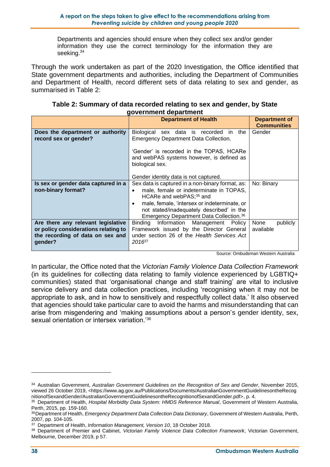Departments and agencies should ensure when they collect sex and/or gender information they use the correct terminology for the information they are seeking.<sup>34</sup>

Through the work undertaken as part of the 2020 Investigation, the Office identified that State government departments and authorities, including the Department of Communities and Department of Health, record different sets of data relating to sex and gender, as summarised in [Table 2:](#page-37-0)

| l able 2: Summary of data recorded relating to sex and gender, by State i |                             |                                     |  |  |
|---------------------------------------------------------------------------|-----------------------------|-------------------------------------|--|--|
| government department                                                     |                             |                                     |  |  |
|                                                                           | <b>Department of Health</b> | Department of<br><b>Communities</b> |  |  |
|                                                                           |                             |                                     |  |  |

**Table 2: Summary of data recorded relating to sex and gender, by State** 

<span id="page-37-0"></span>

|                                                                                                                           | <b>Department of Health</b>                                                                                                                                                                                                                                                                         | Department of<br><b>Communities</b> |
|---------------------------------------------------------------------------------------------------------------------------|-----------------------------------------------------------------------------------------------------------------------------------------------------------------------------------------------------------------------------------------------------------------------------------------------------|-------------------------------------|
| Does the department or authority<br>record sex or gender?                                                                 | Biological<br>recorded<br>sex data is<br>the<br>-in<br><b>Emergency Department Data Collection.</b><br>'Gender' is recorded in the TOPAS, HCARe<br>and webPAS systems however, is defined as<br>biological sex.                                                                                     | Gender                              |
|                                                                                                                           | Gender identity data is not captured.                                                                                                                                                                                                                                                               |                                     |
| Is sex or gender data captured in a<br>non-binary format?                                                                 | Sex data is captured in a non-binary format, as:<br>male, female or indeterminate in TOPAS,<br>HCARe and webPAS; <sup>35</sup> and<br>male, female, 'intersex or indeterminate, or<br>$\bullet$<br>not stated/inadequately described' in the<br>Emergency Department Data Collection. <sup>36</sup> | No: Binary                          |
| Are there any relevant legislative<br>or policy considerations relating to<br>the recording of data on sex and<br>gender? | Information Management Policy<br>Bindina<br>Framework issued by the Director General<br>under section 26 of the Health Services Act<br>201637                                                                                                                                                       | None<br>publicly<br>available       |

Source: Ombudsman Western Australia

In particular, the Office noted that the *Victorian Family Violence Data Collection Framework* (in its guidelines for collecting data relating to family violence experienced by LGBTIQ+ communities) stated that 'organisational change and staff training' are vital to inclusive service delivery and data collection practices, including 'recognising when it may not be appropriate to ask, and in how to sensitively and respectfully collect data.' It also observed that agencies should take particular care to avoid the harms and misunderstanding that can arise from misgendering and 'making assumptions about a person's gender identity, sex, sexual orientation or intersex variation.'<sup>38</sup>

<sup>34</sup> Australian Government, *Australian Government Guidelines on the Recognition of Sex and Gender*, November 2015, viewed 26 October 2019, <https://www.ag.gov.au/Publications/Documents/AustralianGovernmentGuidelinesontheRecog nitionofSexandGender/AustralianGovernmentGuidelinesontheRecognitionofSexandGender.pdf>, p. 4.

<sup>35</sup> Department of Health, *Hospital Morbidity Data System: HMDS Reference Manual*, Government of Western Australia, Perth, 2015, pp. 159-160.

<sup>36</sup>Department of Health, *Emergency Department Data Collection Data Dictionary*, Government of Western Australia, Perth, 2007, pp. 104-105.

<sup>37</sup> Department of Health, *Information Management, Version 10*, 18 October 2018.

<sup>38</sup> Department of Premier and Cabinet, *Victorian Family Violence Data Collection Framework*, Victorian Government, Melbourne, December 2019, p 57.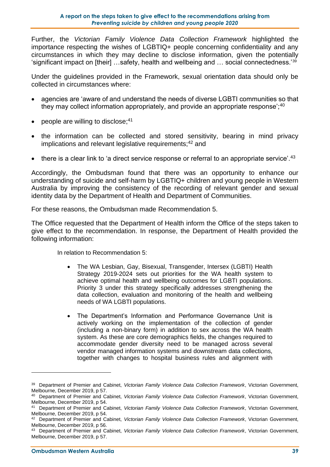Further, the *Victorian Family Violence Data Collection Framework* highlighted the importance respecting the wishes of LGBTIQ+ people concerning confidentiality and any circumstances in which they may decline to disclose information, given the potentially 'significant impact on [their] …safety, health and wellbeing and … social connectedness.'<sup>39</sup>

Under the guidelines provided in the Framework, sexual orientation data should only be collected in circumstances where:

- agencies are 'aware of and understand the needs of diverse LGBTI communities so that they may collect information appropriately, and provide an appropriate response';<sup>40</sup>
- people are willing to disclose;<sup>41</sup>
- the information can be collected and stored sensitivity, bearing in mind privacy implications and relevant legislative requirements;<sup>42</sup> and
- there is a clear link to 'a direct service response or referral to an appropriate service'.<sup>43</sup>

Accordingly, the Ombudsman found that there was an opportunity to enhance our understanding of suicide and self-harm by LGBTIQ+ children and young people in Western Australia by improving the consistency of the recording of relevant gender and sexual identity data by the Department of Health and Department of Communities.

For these reasons, the Ombudsman made Recommendation 5.

The Office requested that the Department of Health inform the Office of the steps taken to give effect to the recommendation. In response, the Department of Health provided the following information:

In relation to Recommendation 5:

- The WA Lesbian, Gay, Bisexual, Transgender, Intersex (LGBTI) Health Strategy 2019-2024 sets out priorities for the WA health system to achieve optimal health and wellbeing outcomes for LGBTI populations. Priority 3 under this strategy specifically addresses strengthening the data collection, evaluation and monitoring of the health and wellbeing needs of WA LGBTI populations.
- The Department's Information and Performance Governance Unit is actively working on the implementation of the collection of gender (including a non-binary form) in addition to sex across the WA health system. As these are core demographics fields, the changes required to accommodate gender diversity need to be managed across several vendor managed information systems and downstream data collections, together with changes to hospital business rules and alignment with

<sup>39</sup> Department of Premier and Cabinet, *Victorian Family Violence Data Collection Framework*, Victorian Government, Melbourne, December 2019, p 57.

<sup>40</sup> Department of Premier and Cabinet, *Victorian Family Violence Data Collection Framework*, Victorian Government, Melbourne, December 2019, p 54.

<sup>41</sup> Department of Premier and Cabinet, *Victorian Family Violence Data Collection Framework*, Victorian Government, Melbourne, December 2019, p 54.

<sup>42</sup> Department of Premier and Cabinet, *Victorian Family Violence Data Collection Framework*, Victorian Government, Melbourne, December 2019, p 56.

<sup>43</sup> Department of Premier and Cabinet, *Victorian Family Violence Data Collection Framework*, Victorian Government, Melbourne, December 2019, p 57.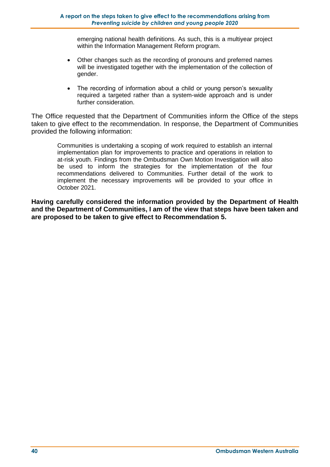emerging national health definitions. As such, this is a multiyear project within the Information Management Reform program.

- Other changes such as the recording of pronouns and preferred names will be investigated together with the implementation of the collection of gender.
- The recording of information about a child or young person's sexuality required a targeted rather than a system-wide approach and is under further consideration.

The Office requested that the Department of Communities inform the Office of the steps taken to give effect to the recommendation. In response, the Department of Communities provided the following information:

Communities is undertaking a scoping of work required to establish an internal implementation plan for improvements to practice and operations in relation to at-risk youth. Findings from the Ombudsman Own Motion Investigation will also be used to inform the strategies for the implementation of the four recommendations delivered to Communities. Further detail of the work to implement the necessary improvements will be provided to your office in October 2021.

**Having carefully considered the information provided by the Department of Health and the Department of Communities, I am of the view that steps have been taken and are proposed to be taken to give effect to Recommendation 5.**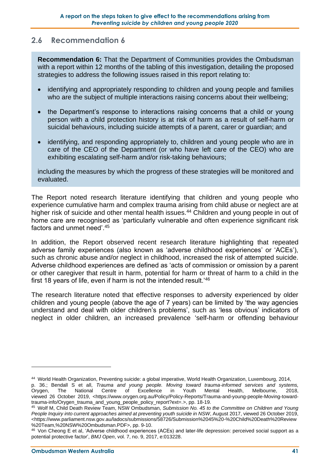# <span id="page-40-0"></span>**2.6 Recommendation 6**

**Recommendation 6:** That the Department of Communities provides the Ombudsman with a report within 12 months of the tabling of this investigation, detailing the proposed strategies to address the following issues raised in this report relating to:

- identifying and appropriately responding to children and young people and families who are the subject of multiple interactions raising concerns about their wellbeing;
- the Department's response to interactions raising concerns that a child or young person with a child protection history is at risk of harm as a result of self-harm or suicidal behaviours, including suicide attempts of a parent, carer or guardian; and
- identifying, and responding appropriately to, children and young people who are in care of the CEO of the Department (or who have left care of the CEO) who are exhibiting escalating self-harm and/or risk-taking behaviours;

including the measures by which the progress of these strategies will be monitored and evaluated.

The Report noted research literature identifying that children and young people who experience cumulative harm and complex trauma arising from child abuse or neglect are at higher risk of suicide and other mental health issues.<sup>44</sup> Children and young people in out of home care are recognised as 'particularly vulnerable and often experience significant risk factors and unmet need'.<sup>45</sup>

In addition, the Report observed recent research literature highlighting that repeated adverse family experiences (also known as 'adverse childhood experiences' or 'ACEs'), such as chronic abuse and/or neglect in childhood, increased the risk of attempted suicide. Adverse childhood experiences are defined as 'acts of commission or omission by a parent or other caregiver that result in harm, potential for harm or threat of harm to a child in the first 18 years of life, even if harm is not the intended result.'<sup>46</sup>

The research literature noted that effective responses to adversity experienced by older children and young people (above the age of 7 years) can be limited by 'the way agencies understand and deal with older children's problems', such as 'less obvious' indicators of neglect in older children, an increased prevalence 'self-harm or offending behaviour

<sup>44</sup> World Health Organization, Preventing suicide: a global imperative, World Health Organization, Luxembourg, 2014,

p. 36.; Bendall S et all, *Trauma and young people. Moving toward trauma-informed services and systems,* Orygen, The National Centre of Excellence in Youth Mental Health, Melbourne, 2018, viewed 26 October 2019, <https://www.orygen.org.au/Policy/Policy-Reports/Trauma-and-young-people-Moving-towardtrauma-info/Orygen\_trauma\_and\_young\_people\_policy\_report?ext=.>, pp. 18-19.

<sup>45</sup> Wolf M, Child Death Review Team, NSW Ombudsman, *Submission No. 45 to the Committee on Children and Young People Inquiry into current approaches aimed at preventing youth suicide in NSW*, August 2017, viewed 26 October 2019, <https://www.parliament.nsw.gov.au/ladocs/submissions/58726/Submission%2045%20-%20Child%20Death%20Review %20Team,%20NSW%20Ombudsman.PDF>, pp. 9-10.

<sup>46</sup> Von Cheong E et al, 'Adverse childhood experiences (ACEs) and later-life depression: perceived social support as a potential protective factor', *BMJ Open*, vol. 7, no. 9, 2017, e:013228.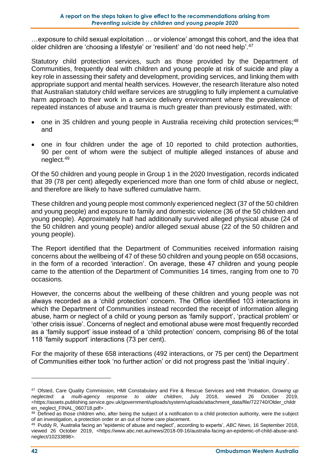…exposure to child sexual exploitation … or violence' amongst this cohort, and the idea that older children are 'choosing a lifestyle' or 'resilient' and 'do not need help'.<sup>47</sup>

Statutory child protection services, such as those provided by the Department of Communities, frequently deal with children and young people at risk of suicide and play a key role in assessing their safety and development, providing services, and linking them with appropriate support and mental health services. However, the research literature also noted that Australian statutory child welfare services are struggling to fully implement a cumulative harm approach to their work in a service delivery environment where the prevalence of repeated instances of abuse and trauma is much greater than previously estimated, with:

- one in 35 children and young people in Australia receiving child protection services;<sup>48</sup> and
- one in four children under the age of 10 reported to child protection authorities, 90 per cent of whom were the subject of multiple alleged instances of abuse and neglect.<sup>49</sup>

Of the 50 children and young people in Group 1 in the 2020 Investigation, records indicated that 39 (78 per cent) allegedly experienced more than one form of child abuse or neglect, and therefore are likely to have suffered cumulative harm.

These children and young people most commonly experienced neglect (37 of the 50 children and young people) and exposure to family and domestic violence (36 of the 50 children and young people). Approximately half had additionally survived alleged physical abuse (24 of the 50 children and young people) and/or alleged sexual abuse (22 of the 50 children and young people).

The Report identified that the Department of Communities received information raising concerns about the wellbeing of 47 of these 50 children and young people on 658 occasions, in the form of a recorded 'interaction'. On average, these 47 children and young people came to the attention of the Department of Communities 14 times, ranging from one to 70 occasions.

However, the concerns about the wellbeing of these children and young people was not always recorded as a 'child protection' concern. The Office identified 103 interactions in which the Department of Communities instead recorded the receipt of information alleging abuse, harm or neglect of a child or young person as 'family support', 'practical problem' or 'other crisis issue'. Concerns of neglect and emotional abuse were most frequently recorded as a 'family support' issue instead of a 'child protection' concern, comprising 86 of the total 118 'family support' interactions (73 per cent).

For the majority of these 658 interactions (492 interactions, or 75 per cent) the Department of Communities either took 'no further action' or did not progress past the 'initial inquiry'.

<sup>47</sup> Ofsted, Care Quality Commission, HMI Constabulary and Fire & Rescue Services and HMI Probation, *Growing up neglected: a multi-agency response to older children*, July 2018, viewed 26 October 2019, <https://assets.publishing.service.gov.uk/government/uploads/system/uploads/attachment\_data/file/722740/Older\_childr en\_neglect\_FINAL\_060718.pdf> .

<sup>&</sup>lt;sup>48</sup> Defined as those children who, after being the subject of a notification to a child protection authority, were the subject of an investigation, a protection order or an out of home care placement.

<sup>49</sup> Puddy R, 'Australia facing an "epidemic of abuse and neglect", according to experts', *ABC News,* 16 September 2018, viewed 26 October 2019, <https://www.abc.net.au/news/2018-09-16/australia-facing-an-epidemic-of-child-abuse-andneglect/10233898>.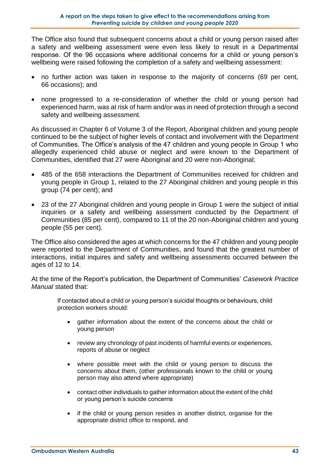The Office also found that subsequent concerns about a child or young person raised after a safety and wellbeing assessment were even less likely to result in a Departmental response. Of the 96 occasions where additional concerns for a child or young person's wellbeing were raised following the completion of a safety and wellbeing assessment:

- no further action was taken in response to the majority of concerns (69 per cent, 66 occasions); and
- none progressed to a re-consideration of whether the child or young person had experienced harm, was at risk of harm and/or was in need of protection through a second safety and wellbeing assessment.

As discussed in Chapter 6 of Volume 3 of the Report, Aboriginal children and young people continued to be the subject of higher levels of contact and involvement with the Department of Communities. The Office's analysis of the 47 children and young people in Group 1 who allegedly experienced child abuse or neglect and were known to the Department of Communities, identified that 27 were Aboriginal and 20 were non-Aboriginal;

- 485 of the 658 interactions the Department of Communities received for children and young people in Group 1, related to the 27 Aboriginal children and young people in this group (74 per cent); and
- 23 of the 27 Aboriginal children and young people in Group 1 were the subject of initial inquiries or a safety and wellbeing assessment conducted by the Department of Communities (85 per cent), compared to 11 of the 20 non-Aboriginal children and young people (55 per cent).

The Office also considered the ages at which concerns for the 47 children and young people were reported to the Department of Communities, and found that the greatest number of interactions, initial inquires and safety and wellbeing assessments occurred between the ages of 12 to 14.

At the time of the Report's publication, the Department of Communities' *Casework Practice Manual* stated that:

If contacted about a child or young person's suicidal thoughts or behaviours, child protection workers should:

- gather information about the extent of the concerns about the child or young person
- review any chronology of past incidents of harmful events or experiences, reports of abuse or neglect
- where possible meet with the child or young person to discuss the concerns about them, (other professionals known to the child or young person may also attend where appropriate)
- contact other individuals to gather information about the extent of the child or young person's suicide concerns
- if the child or young person resides in another district, organise for the appropriate district office to respond, and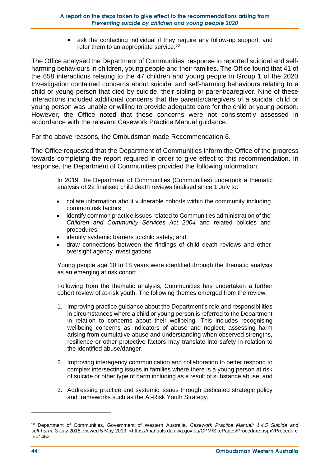• ask the contacting individual if they require any follow-up support, and refer them to an appropriate service.<sup>50</sup>

The Office analysed the Department of Communities' response to reported suicidal and selfharming behaviours in children, young people and their families. The Office found that 41 of the 658 interactions relating to the 47 children and young people in Group 1 of the 2020 Investigation contained concerns about suicidal and self-harming behaviours relating to a child or young person that died by suicide, their sibling or parent/caregiver. Nine of these interactions included additional concerns that the parents/caregivers of a suicidal child or young person was unable or willing to provide adequate care for the child or young person. However, the Office noted that these concerns were not consistently assessed in accordance with the relevant Casework Practice Manual guidance.

For the above reasons, the Ombudsman made Recommendation 6.

The Office requested that the Department of Communities inform the Office of the progress towards completing the report required in order to give effect to this recommendation. In response, the Department of Communities provided the following information:

In 2019, the Department of Communities (Communities) undertook a thematic analysis of 22 finalised child death reviews finalised since 1 July to:

- collate information about vulnerable cohorts within the community including common risk factors;
- identify common practice issues related to Communities administration of the *Children and Community Services Act 2004* and related policies and procedures;
- identify systemic barriers to child safety; and
- draw connections between the findings of child death reviews and other oversight agency investigations.

Young people age 10 to 18 years were identified through the thematic analysis as an emerging at risk cohort.

Following from the thematic analysis, Communities has undertaken a further cohort review of at-risk youth. The following themes emerged from the review:

- 1. Improving practice guidance about the Department's role and responsibilities in circumstances where a child or young person is referred to the Department in relation to concerns about their wellbeing. This includes recognising wellbeing concerns as indicators of abuse and neglect, assessing harm arising from cumulative abuse and understanding when observed strengths, resilience or other protective factors may translate into safety in relation to the identified abuse/danger.
- 2. Improving interagency communication and collaboration to better respond to complex intersecting issues in families where there is a young person at risk of suicide or other type of harm including as a result of substance abuse; and
- 3. Addressing practice and systemic issues through dedicated strategic policy and frameworks such as the At-Risk Youth Strategy.

<sup>50</sup> Department of Communities, Government of Western Australia, *Casework Practice Manual: 1.4.5 Suicide and*  self-harm, 3 July 2018, viewed 5 May 2019, <https://manuals.dcp.wa.gov.au/CPM/SitePages/Procedure.aspx?Procedure  $Id = 146$ .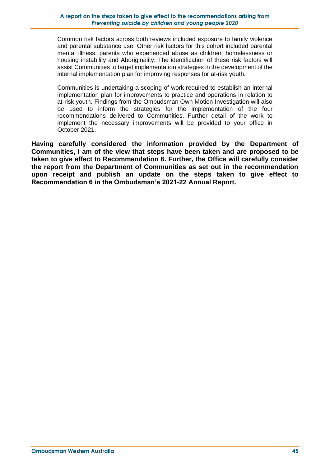Common risk factors across both reviews included exposure to family violence and parental substance use. Other risk factors for this cohort included parental mental illness, parents who experienced abuse as children, homelessness or housing instability and Aboriginality. The identification of these risk factors will assist Communities to target implementation strategies in the development of the internal implementation plan for improving responses for at-risk youth.

Communities is undertaking a scoping of work required to establish an internal implementation plan for improvements to practice and operations in relation to at-risk youth. Findings from the Ombudsman Own Motion Investigation will also be used to inform the strategies for the implementation of the four recommendations delivered to Communities. Further detail of the work to implement the necessary improvements will be provided to your office in October 2021.

**Having carefully considered the information provided by the Department of Communities, I am of the view that steps have been taken and are proposed to be taken to give effect to Recommendation 6. Further, the Office will carefully consider the report from the Department of Communities as set out in the recommendation upon receipt and publish an update on the steps taken to give effect to Recommendation 6 in the Ombudsman's 2021-22 Annual Report.**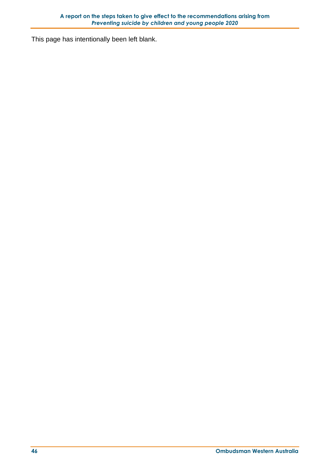This page has intentionally been left blank.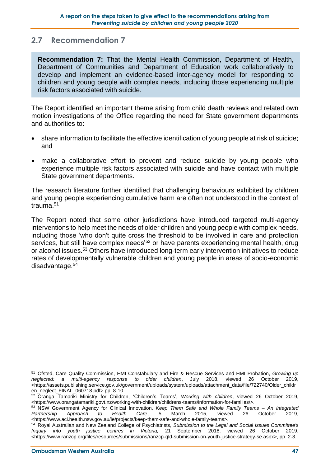# <span id="page-46-0"></span>**2.7 Recommendation 7**

**Recommendation 7:** That the Mental Health Commission, Department of Health, Department of Communities and Department of Education work collaboratively to develop and implement an evidence-based inter-agency model for responding to children and young people with complex needs, including those experiencing multiple risk factors associated with suicide.

The Report identified an important theme arising from child death reviews and related own motion investigations of the Office regarding the need for State government departments and authorities to:

- share information to facilitate the effective identification of young people at risk of suicide; and
- make a collaborative effort to prevent and reduce suicide by young people who experience multiple risk factors associated with suicide and have contact with multiple State government departments.

The research literature further identified that challenging behaviours exhibited by children and young people experiencing cumulative harm are often not understood in the context of trauma.<sup>51</sup>

The Report noted that some other jurisdictions have introduced targeted multi-agency interventions to help meet the needs of older children and young people with complex needs, including those 'who don't quite cross the threshold to be involved in care and protection services, but still have complex needs<sup>'52</sup> or have parents experiencing mental health, drug or alcohol issues.<sup>53</sup> Others have introduced long-term early intervention initiatives to reduce rates of developmentally vulnerable children and young people in areas of socio-economic disadvantage.<sup>54</sup>

<sup>51</sup> Ofsted, Care Quality Commission, HMI Constabulary and Fire & Rescue Services and HMI Probation, *Growing up neglected: a multi-agency response to older children*, July 2018, viewed 26 October 2019, <https://assets.publishing.service.gov.uk/government/uploads/system/uploads/attachment\_data/file/722740/Older\_childr en\_neglect\_FINAL\_060718.pdf> pp. 8-10.

<sup>52</sup> Oranga Tamariki Ministry for Children, 'Children's Teams', *Working with children*, viewed 26 October 2019, <https://www.orangatamariki.govt.nz/working-with-children/childrens-teams/information-for-families/>.

<sup>53</sup> NSW Government Agency for Clinical Innovation, *Keep Them Safe and Whole Family Teams – An Integrated Partnership Approach to Health Care*, 5 March 2015, viewed 26 October 2019, <https://www.aci.health.nsw.gov.au/ie/projects/keep-them-safe-and-whole-family-teams>.

<sup>54</sup> Royal Australian and New Zealand College of Psychiatrists*, Submission to the Legal and Social Issues Committee's Inquiry into youth justice centres in Victoria,* 21 September 2018, viewed 26 October 2019, <https://www.ranzcp.org/files/resources/submissions/ranzcp-qld-submission-on-youth-justice-strategy-se.aspx>, pp. 2-3.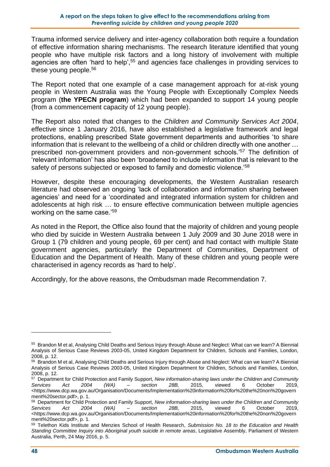Trauma informed service delivery and inter-agency collaboration both require a foundation of effective information sharing mechanisms. The research literature identified that young people who have multiple risk factors and a long history of involvement with multiple agencies are often 'hard to help',<sup>55</sup> and agencies face challenges in providing services to these young people.<sup>56</sup>

The Report noted that one example of a case management approach for at-risk young people in Western Australia was the Young People with Exceptionally Complex Needs program (**the YPECN program**) which had been expanded to support 14 young people (from a commencement capacity of 12 young people).

The Report also noted that changes to the *Children and Community Services Act 2004*, effective since 1 January 2016, have also established a legislative framework and legal protections, enabling prescribed State government departments and authorities 'to share information that is relevant to the wellbeing of a child or children directly with one another … prescribed non-government providers and non-government schools.'<sup>57</sup> The definition of 'relevant information' has also been 'broadened to include information that is relevant to the safety of persons subjected or exposed to family and domestic violence.<sup>'58</sup>

However, despite these encouraging developments, the Western Australian research literature had observed an ongoing 'lack of collaboration and information sharing between agencies' and need for a 'coordinated and integrated information system for children and adolescents at high risk … to ensure effective communication between multiple agencies working on the same case.'<sup>59</sup>

As noted in the Report, the Office also found that the majority of children and young people who died by suicide in Western Australia between 1 July 2009 and 30 June 2018 were in Group 1 (79 children and young people, 69 per cent) and had contact with multiple State government agencies, particularly the Department of Communities, Department of Education and the Department of Health. Many of these children and young people were characterised in agency records as 'hard to help'.

Accordingly, for the above reasons, the Ombudsman made Recommendation 7.

<sup>55</sup> Brandon M et al, Analysing Child Deaths and Serious Injury through Abuse and Neglect: What can we learn? A Biennial Analysis of Serious Case Reviews 2003-05, United Kingdom Department for Children, Schools and Families, London, 2008, p. 12.

<sup>56</sup> Brandon M et al, Analysing Child Deaths and Serious Injury through Abuse and Neglect: What can we learn? A Biennial Analysis of Serious Case Reviews 2003-05, United Kingdom Department for Children, Schools and Families, London, 2008, p. 12.

<sup>57</sup> Department for Child Protection and Family Support, *New information-sharing laws under the Children and Community Services Act 2004 (WA) – section 28B,* 2015, viewed 6 October 2019, <https://www.dcp.wa.gov.au/Organisation/Documents/Implementation%20information%20for%20the%20non%20govern ment%20sector.pdf>, p. 1.

<sup>58</sup> Department for Child Protection and Family Support, *New information-sharing laws under the Children and Community Services Act 2004 (WA) – section 28B,* 2015, viewed 6 October 2019, <https://www.dcp.wa.gov.au/Organisation/Documents/Implementation%20information%20for%20the%20non%20govern ment%20sector.pdf>, p. 1.

<sup>59</sup> Telethon Kids Institute and Menzies School of Health Research, *Submission No. 18 to the Education and Health Standing Committee Inquiry into Aboriginal youth suicide in remote areas*, Legislative Assembly, Parliament of Western Australia, Perth, 24 May 2016, p. 5.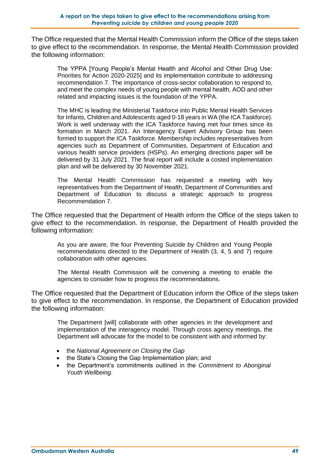The Office requested that the Mental Health Commission inform the Office of the steps taken to give effect to the recommendation. In response, the Mental Health Commission provided the following information:

The YPPA [Young People's Mental Health and Alcohol and Other Drug Use: Priorities for Action 2020-2025] and its implementation contribute to addressing recommendation 7. The importance of cross-sector collaboration to respond to, and meet the complex needs of young people with mental health, AOD and other related and impacting issues is the foundation of the YPPA.

The MHC is leading the Ministerial Taskforce into Public Mental Health Services for Infants, Children and Adolescents aged 0-18 years in WA (the ICA Taskforce). Work is well underway with the ICA Taskforce having met four times since its formation in March 2021. An Interagency Expert Advisory Group has been formed to support the ICA Taskforce. Membership includes representatives from agencies such as Department of Communities, Department of Education and various health service providers (HSPs). An emerging directions paper will be delivered by 31 July 2021. The final report will include a costed implementation plan and will be delivered by 30 November 2021.

The Mental Health Commission has requested a meeting with key representatives from the Department of Health, Department of Communities and Department of Education to discuss a strategic approach to progress Recommendation 7.

The Office requested that the Department of Health inform the Office of the steps taken to give effect to the recommendation. In response, the Department of Health provided the following information:

As you are aware, the four Preventing Suicide by Children and Young People recommendations directed to the Department of Health (3, 4, 5 and 7) require collaboration with other agencies.

The Mental Health Commission will be convening a meeting to enable the agencies to consider how to progress the recommendations.

The Office requested that the Department of Education inform the Office of the steps taken to give effect to the recommendation. In response, the Department of Education provided the following information:

The Department [will] collaborate with other agencies in the development and implementation of the interagency model. Through cross agency meetings, the Department will advocate for the model to be consistent with and informed by:

- the *National Agreement on Closing the Gap*
- the State's Closing the Gap Implementation plan; and
- the Department's commitments outlined in the *Commitment to Aboriginal Youth Wellbeing*.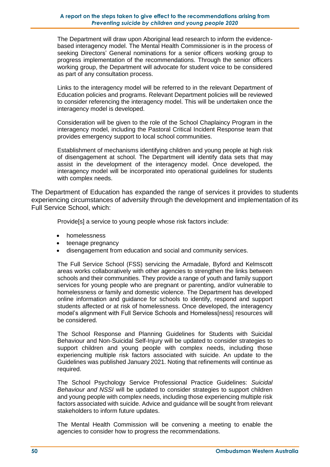The Department will draw upon Aboriginal lead research to inform the evidencebased interagency model. The Mental Health Commissioner is in the process of seeking Directors' General nominations for a senior officers working group to progress implementation of the recommendations. Through the senior officers working group, the Department will advocate for student voice to be considered as part of any consultation process.

Links to the interagency model will be referred to in the relevant Department of Education policies and programs. Relevant Department policies will be reviewed to consider referencing the interagency model. This will be undertaken once the interagency model is developed.

Consideration will be given to the role of the School Chaplaincy Program in the interagency model, including the Pastoral Critical Incident Response team that provides emergency support to local school communities.

Establishment of mechanisms identifying children and young people at high risk of disengagement at school. The Department will identify data sets that may assist in the development of the interagency model. Once developed, the interagency model will be incorporated into operational guidelines for students with complex needs.

The Department of Education has expanded the range of services it provides to students experiencing circumstances of adversity through the development and implementation of its Full Service School, which:

Provide[s] a service to young people whose risk factors include:

- homelessness
- teenage pregnancy
- disengagement from education and social and community services.

The Full Service School (FSS) servicing the Armadale, Byford and Kelmscott areas works collaboratively with other agencies to strengthen the links between schools and their communities. They provide a range of youth and family support services for young people who are pregnant or parenting, and/or vulnerable to homelessness or family and domestic violence. The Department has developed online information and guidance for schools to identify, respond and support students affected or at risk of homelessness. Once developed, the interagency model's alignment with Full Service Schools and Homeless ness are resources will be considered.

The School Response and Planning Guidelines for Students with Suicidal Behaviour and Non-Suicidal Self-Injury will be updated to consider strategies to support children and young people with complex needs, including those experiencing multiple risk factors associated with suicide. An update to the Guidelines was published January 2021. Noting that refinements will continue as required.

The School Psychology Service Professional Practice Guidelines: *Suicidal Behaviour and NSSI* will be updated to consider strategies to support children and young people with complex needs, including those experiencing multiple risk factors associated with suicide. Advice and guidance will be sought from relevant stakeholders to inform future updates.

The Mental Health Commission will be convening a meeting to enable the agencies to consider how to progress the recommendations.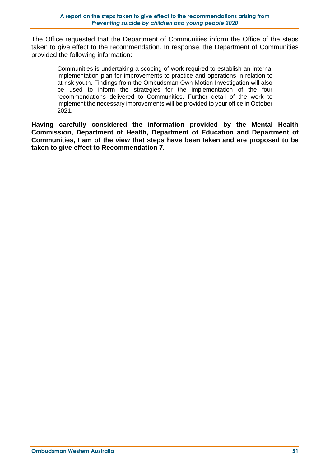The Office requested that the Department of Communities inform the Office of the steps taken to give effect to the recommendation. In response, the Department of Communities provided the following information:

Communities is undertaking a scoping of work required to establish an internal implementation plan for improvements to practice and operations in relation to at-risk youth. Findings from the Ombudsman Own Motion Investigation will also be used to inform the strategies for the implementation of the four recommendations delivered to Communities. Further detail of the work to implement the necessary improvements will be provided to your office in October 2021.

**Having carefully considered the information provided by the Mental Health Commission, Department of Health, Department of Education and Department of Communities, I am of the view that steps have been taken and are proposed to be taken to give effect to Recommendation 7.**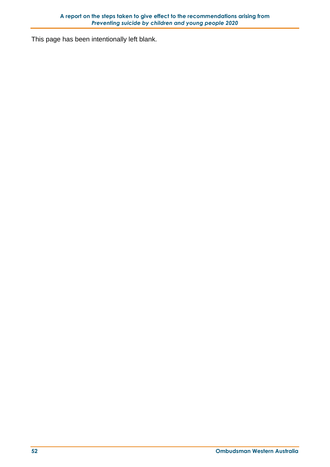This page has been intentionally left blank.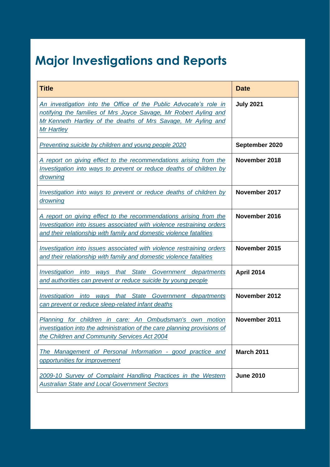# **Major Investigations and Reports**

| <b>Title</b>                                                                                                                                                                                                                | <b>Date</b>       |
|-----------------------------------------------------------------------------------------------------------------------------------------------------------------------------------------------------------------------------|-------------------|
| An investigation into the Office of the Public Advocate's role in<br>notifying the families of Mrs Joyce Savage, Mr Robert Ayling and<br>Mr Kenneth Hartley of the deaths of Mrs Savage, Mr Ayling and<br><b>Mr Hartley</b> | <b>July 2021</b>  |
| Preventing suicide by children and young people 2020                                                                                                                                                                        | September 2020    |
| A report on giving effect to the recommendations arising from the<br>Investigation into ways to prevent or reduce deaths of children by<br><u>drowning</u>                                                                  | November 2018     |
| Investigation into ways to prevent or reduce deaths of children by<br>drowning                                                                                                                                              | November 2017     |
| A report on giving effect to the recommendations arising from the<br>Investigation into issues associated with violence restraining orders<br>and their relationship with family and domestic violence fatalities           | November 2016     |
| Investigation into issues associated with violence restraining orders<br>and their relationship with family and domestic violence fatalities                                                                                | November 2015     |
| ways that State Government departments<br><i>Investigation into</i><br>and authorities can prevent or reduce suicide by young people                                                                                        | <b>April 2014</b> |
| Investigation into<br>ways that State Government departments<br>can prevent or reduce sleep-related infant deaths                                                                                                           | November 2012     |
| Planning for children in care: An Ombudsman's own motion<br>investigation into the administration of the care planning provisions of<br>the Children and Community Services Act 2004                                        | November 2011     |
| The Management of Personal Information - good practice and<br>opportunities for improvement                                                                                                                                 | <b>March 2011</b> |
| 2009-10 Survey of Complaint Handling Practices in the Western<br><b>Australian State and Local Government Sectors</b>                                                                                                       | <b>June 2010</b>  |